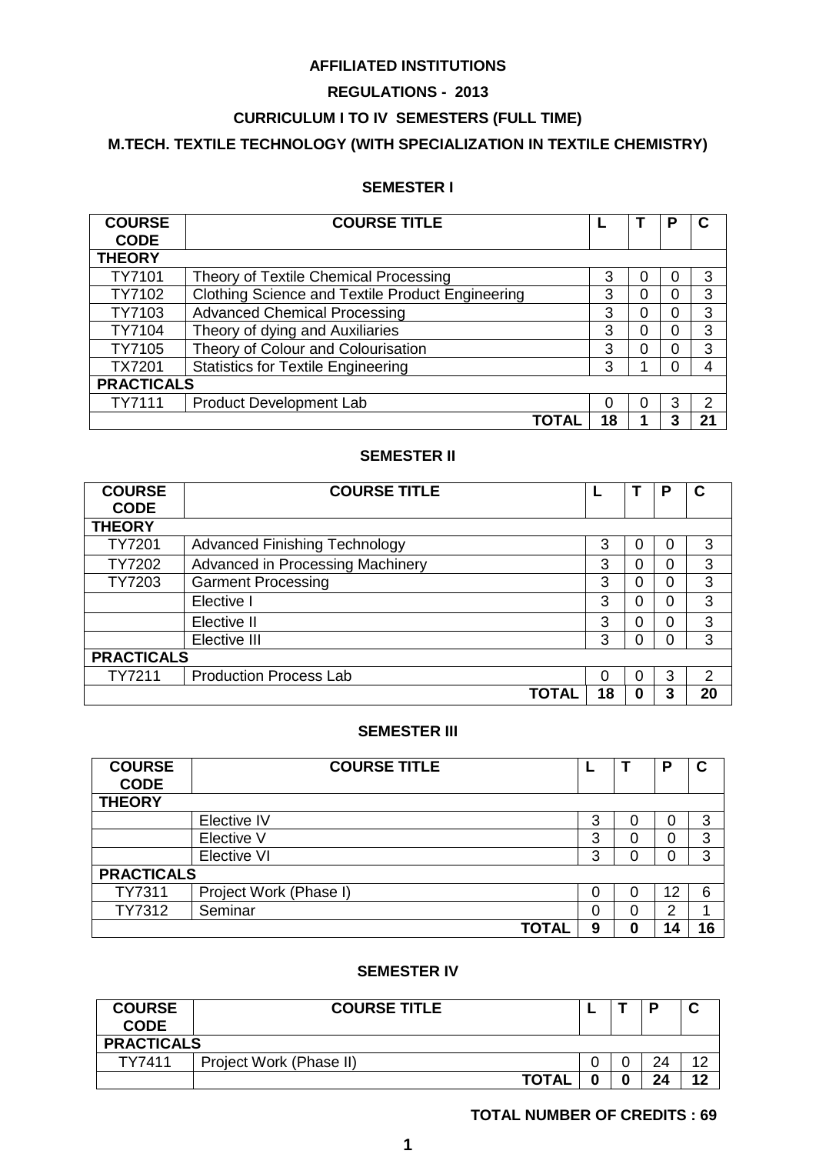## **AFFILIATED INSTITUTIONS**

## **REGULATIONS - 2013**

## **CURRICULUM I TO IV SEMESTERS (FULL TIME)**

## **M.TECH. TEXTILE TECHNOLOGY (WITH SPECIALIZATION IN TEXTILE CHEMISTRY)**

## **SEMESTER I**

| <b>COURSE</b>     | <b>COURSE TITLE</b>                              |    |   | Р |    |  |
|-------------------|--------------------------------------------------|----|---|---|----|--|
| <b>CODE</b>       |                                                  |    |   |   |    |  |
| <b>THEORY</b>     |                                                  |    |   |   |    |  |
| TY7101            | Theory of Textile Chemical Processing            | 3  |   | O | 3  |  |
| TY7102            | Clothing Science and Textile Product Engineering | 3  | ი | 0 | 3  |  |
| TY7103            | <b>Advanced Chemical Processing</b>              | 3  |   | 0 | 3  |  |
| TY7104            | Theory of dying and Auxiliaries                  | 3  |   | 0 | 3  |  |
| TY7105            | Theory of Colour and Colourisation               | 3  |   | 0 | 3  |  |
| <b>TX7201</b>     | <b>Statistics for Textile Engineering</b>        | 3  |   | O | 4  |  |
| <b>PRACTICALS</b> |                                                  |    |   |   |    |  |
| TY7111            | <b>Product Development Lab</b>                   | O  |   | 3 | າ  |  |
|                   |                                                  | 18 |   |   | ን' |  |

### **SEMESTER II**

| <b>COURSE</b><br><b>CODE</b> | <b>COURSE TITLE</b>                  |  |    |          | Р |    |  |
|------------------------------|--------------------------------------|--|----|----------|---|----|--|
| <b>THEORY</b>                |                                      |  |    |          |   |    |  |
| <b>TY7201</b>                | <b>Advanced Finishing Technology</b> |  | 3  |          | 0 | 3  |  |
| TY7202                       | Advanced in Processing Machinery     |  | 3  | ი        | 0 | 3  |  |
| TY7203                       | <b>Garment Processing</b>            |  | 3  | 0        | 0 | 3  |  |
|                              | Elective I                           |  | 3  | 0        | 0 | 3  |  |
|                              | Elective II                          |  | 3  | $\Omega$ | 0 | 3  |  |
|                              | Elective III                         |  | 3  | O        | 0 | 3  |  |
| <b>PRACTICALS</b>            |                                      |  |    |          |   |    |  |
| TY7211                       | <b>Production Process Lab</b>        |  | 0  | 0        | 3 | 2  |  |
|                              | ΤΟΤΑ                                 |  | 18 | 0        | 3 | 20 |  |

## **SEMESTER III**

| <b>COURSE</b><br><b>CODE</b> | <b>COURSE TITLE</b>    |   |   | P  | С  |  |
|------------------------------|------------------------|---|---|----|----|--|
| <b>THEORY</b>                |                        |   |   |    |    |  |
|                              |                        |   |   |    |    |  |
|                              | Elective IV            | 3 | 0 | 0  | 3  |  |
|                              | Elective V             | 3 | 0 | 0  | 3  |  |
|                              | <b>Elective VI</b>     | 3 | 0 | 0  | 3  |  |
| <b>PRACTICALS</b>            |                        |   |   |    |    |  |
| <b>TY7311</b>                | Project Work (Phase I) | 0 | 0 | 12 | 6  |  |
| TY7312                       | Seminar                | 0 | 0 | 2  |    |  |
|                              | <b>TOTAI</b>           | 9 | 0 | 14 | 16 |  |

## **SEMESTER IV**

| <b>COURSE</b><br><b>CODE</b> | <b>COURSE TITLE</b>     |   |  | P  |    |  |  |  |
|------------------------------|-------------------------|---|--|----|----|--|--|--|
| <b>PRACTICALS</b>            |                         |   |  |    |    |  |  |  |
| TY7411                       | Project Work (Phase II) |   |  | 24 |    |  |  |  |
|                              | <b>TOTAL</b>            | 0 |  | 24 | ィク |  |  |  |

## **TOTAL NUMBER OF CREDITS : 69**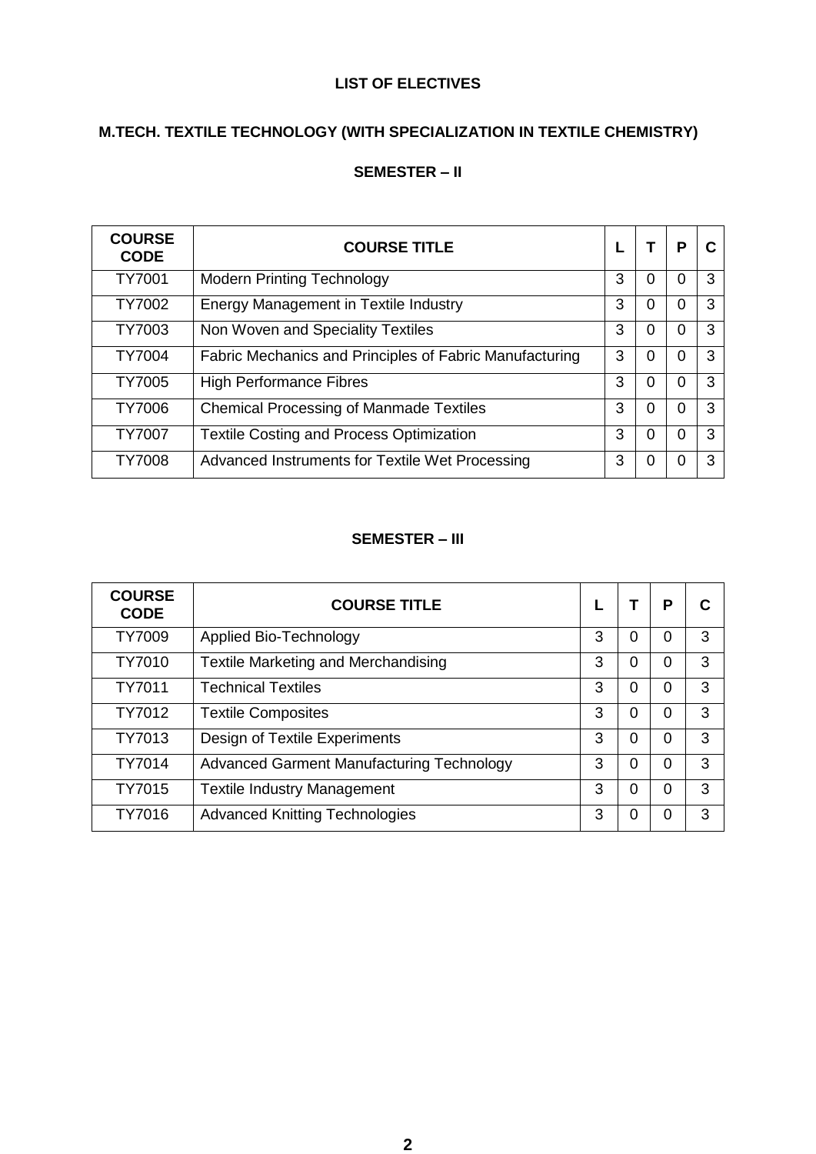## **LIST OF ELECTIVES**

## **M.TECH. TEXTILE TECHNOLOGY (WITH SPECIALIZATION IN TEXTILE CHEMISTRY)**

## **SEMESTER – II**

| <b>COURSE</b><br><b>CODE</b> | <b>COURSE TITLE</b>                                     |   |   | Р |   |
|------------------------------|---------------------------------------------------------|---|---|---|---|
| <b>TY7001</b>                | <b>Modern Printing Technology</b>                       | 3 | 0 | 0 | 3 |
| TY7002                       | Energy Management in Textile Industry                   | 3 | 0 | 0 | 3 |
| TY7003                       | Non Woven and Speciality Textiles                       | 3 | 0 | 0 | 3 |
| <b>TY7004</b>                | Fabric Mechanics and Principles of Fabric Manufacturing | 3 | 0 | 0 | 3 |
| <b>TY7005</b>                | <b>High Performance Fibres</b>                          | 3 | 0 | O | 3 |
| <b>TY7006</b>                | <b>Chemical Processing of Manmade Textiles</b>          | 3 | 0 | 0 | 3 |
| <b>TY7007</b>                | <b>Textile Costing and Process Optimization</b>         | 3 | 0 | 0 | 3 |
| <b>TY7008</b>                | Advanced Instruments for Textile Wet Processing         | 3 | 0 | 0 | 3 |

## **SEMESTER – III**

| <b>COURSE</b><br><b>CODE</b> | <b>COURSE TITLE</b>                        |   |   | P        | С |
|------------------------------|--------------------------------------------|---|---|----------|---|
| <b>TY7009</b>                | Applied Bio-Technology                     | 3 | 0 | 0        | 3 |
| TY7010                       | <b>Textile Marketing and Merchandising</b> | 3 | 0 | 0        | 3 |
| TY7011                       | <b>Technical Textiles</b>                  | 3 | 0 | 0        | 3 |
| TY7012                       | <b>Textile Composites</b>                  | 3 | 0 | 0        | 3 |
| TY7013                       | Design of Textile Experiments              | 3 | 0 | 0        | 3 |
| TY7014                       | Advanced Garment Manufacturing Technology  | 3 | 0 | $\Omega$ | 3 |
| TY7015                       | <b>Textile Industry Management</b>         | 3 | 0 | 0        | 3 |
| TY7016                       | <b>Advanced Knitting Technologies</b>      | 3 | 0 | 0        | 3 |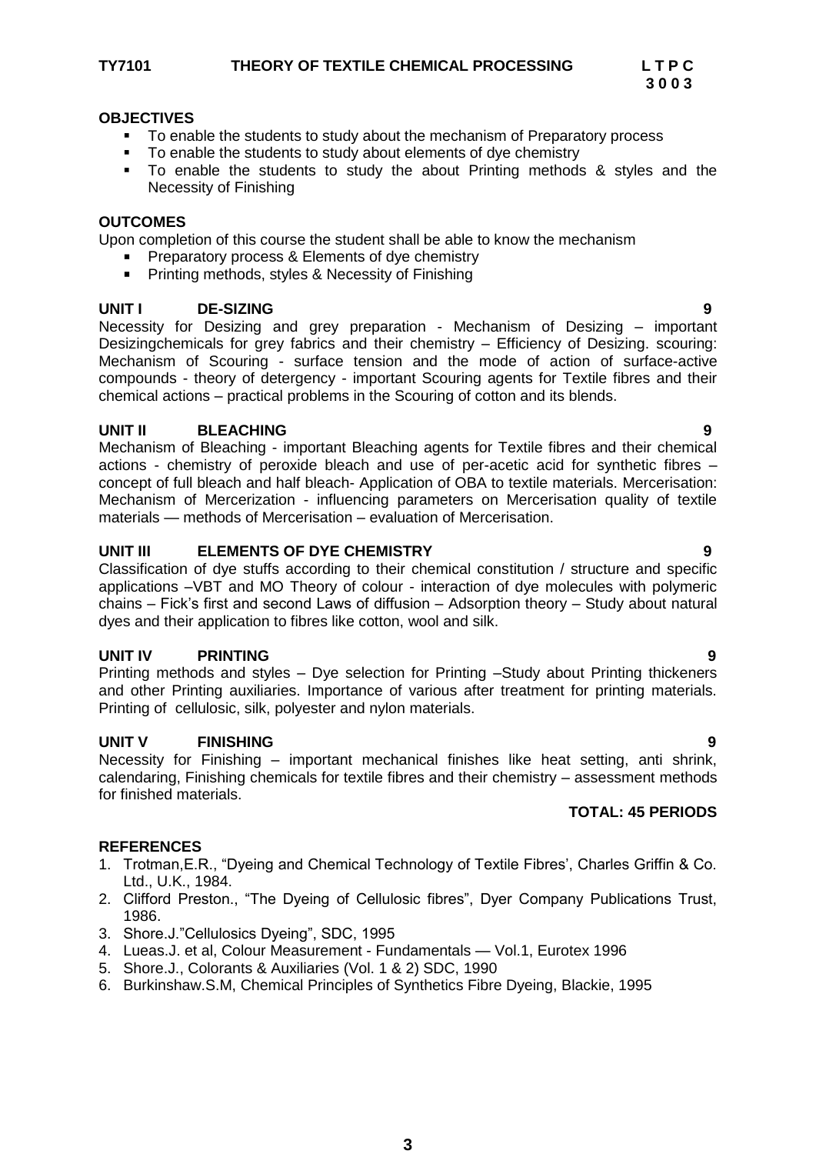- To enable the students to study about the mechanism of Preparatory process
- To enable the students to study about elements of dye chemistry
- To enable the students to study the about Printing methods & styles and the Necessity of Finishing

### **OUTCOMES**

Upon completion of this course the student shall be able to know the mechanism

- Preparatory process & Elements of dye chemistry
- Printing methods, styles & Necessity of Finishing

## UNIT **DE-SIZING**

Necessity for Desizing and grey preparation - Mechanism of Desizing – important Desizingchemicals for grey fabrics and their chemistry – Efficiency of Desizing. scouring: Mechanism of Scouring - surface tension and the mode of action of surface-active compounds - theory of detergency - important Scouring agents for Textile fibres and their chemical actions – practical problems in the Scouring of cotton and its blends.

## **UNIT II BLEACHING 9**

Mechanism of Bleaching - important Bleaching agents for Textile fibres and their chemical actions - chemistry of peroxide bleach and use of per-acetic acid for synthetic fibres – concept of full bleach and half bleach- Application of OBA to textile materials. Mercerisation: Mechanism of Mercerization - influencing parameters on Mercerisation quality of textile materials — methods of Mercerisation – evaluation of Mercerisation.

## **UNIT III ELEMENTS OF DYE CHEMISTRY 9**

Classification of dye stuffs according to their chemical constitution / structure and specific applications –VBT and MO Theory of colour - interaction of dye molecules with polymeric chains – Fick's first and second Laws of diffusion – Adsorption theory – Study about natural dyes and their application to fibres like cotton, wool and silk.

## **UNIT IV PRINTING 9**

Printing methods and styles – Dye selection for Printing –Study about Printing thickeners and other Printing auxiliaries. Importance of various after treatment for printing materials. Printing of cellulosic, silk, polyester and nylon materials.

## **UNIT V FINISHING 9**

Necessity for Finishing – important mechanical finishes like heat setting, anti shrink, calendaring, Finishing chemicals for textile fibres and their chemistry – assessment methods for finished materials.

## **TOTAL: 45 PERIODS**

- 1. Trotman, E.R., "Dyeing and Chemical Technology of Textile Fibres', Charles Griffin & Co. Ltd., U.K., 1984.
- 2. Clifford Preston., "The Dyeing of Cellulosic fibres", Dyer Company Publications Trust, 1986.
- 3. Shore.J."Cellulosics Dyeing", SDC, 1995
- 4. Lueas.J. et al, Colour Measurement Fundamentals Vol.1, Eurotex 1996
- 5. Shore.J., Colorants & Auxiliaries (Vol. 1 & 2) SDC, 1990
- 6. Burkinshaw.S.M, Chemical Principles of Synthetics Fibre Dyeing, Blackie, 1995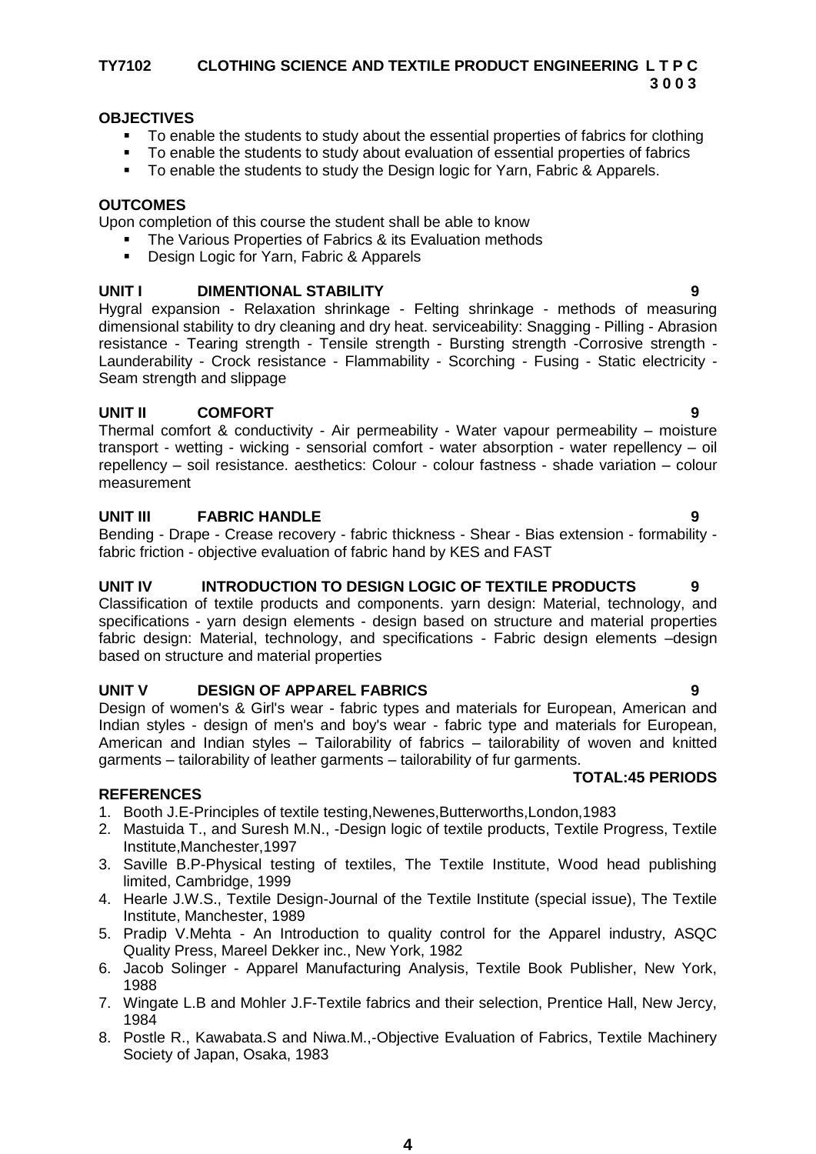### **TY7102 CLOTHING SCIENCE AND TEXTILE PRODUCT ENGINEERING L T P C 3 0 0 3**

## **OBJECTIVES**

- To enable the students to study about the essential properties of fabrics for clothing
- To enable the students to study about evaluation of essential properties of fabrics
- To enable the students to study the Design logic for Yarn, Fabric & Apparels.

## **OUTCOMES**

Upon completion of this course the student shall be able to know

- The Various Properties of Fabrics & its Evaluation methods
- **Design Logic for Yarn, Fabric & Apparels**

## **UNIT I DIMENTIONAL STABILITY**

Hygral expansion - Relaxation shrinkage - Felting shrinkage - methods of measuring dimensional stability to dry cleaning and dry heat. serviceability: Snagging - Pilling - Abrasion resistance - Tearing strength - Tensile strength - Bursting strength -Corrosive strength - Launderability - Crock resistance - Flammability - Scorching - Fusing - Static electricity - Seam strength and slippage

## **UNIT II COMFORT 9**

Thermal comfort & conductivity - Air permeability - Water vapour permeability – moisture transport - wetting - wicking - sensorial comfort - water absorption - water repellency – oil repellency – soil resistance. aesthetics: Colour - colour fastness - shade variation – colour measurement

## **UNIT III FABRIC HANDLE 9**

Bending - Drape - Crease recovery - fabric thickness - Shear - Bias extension - formability fabric friction - objective evaluation of fabric hand by KES and FAST

## **UNIT IV INTRODUCTION TO DESIGN LOGIC OF TEXTILE PRODUCTS 9**

Classification of textile products and components. yarn design: Material, technology, and specifications - yarn design elements - design based on structure and material properties fabric design: Material, technology, and specifications - Fabric design elements –design based on structure and material properties

## **UNIT V DESIGN OF APPAREL FABRICS 9**

Design of women's & Girl's wear - fabric types and materials for European, American and Indian styles - design of men's and boy's wear - fabric type and materials for European, American and Indian styles – Tailorability of fabrics – tailorability of woven and knitted garments – tailorability of leather garments – tailorability of fur garments. **TOTAL:45 PERIODS**

- 1. Booth J.E-Principles of textile testing,Newenes,Butterworths,London,1983
- 2. Mastuida T., and Suresh M.N., -Design logic of textile products, Textile Progress, Textile Institute,Manchester,1997
- 3. Saville B.P-Physical testing of textiles, The Textile Institute, Wood head publishing limited, Cambridge, 1999
- 4. Hearle J.W.S., Textile Design-Journal of the Textile Institute (special issue), The Textile Institute, Manchester, 1989
- 5. Pradip V.Mehta An Introduction to quality control for the Apparel industry, ASQC Quality Press, Mareel Dekker inc., New York, 1982
- 6. Jacob Solinger Apparel Manufacturing Analysis, Textile Book Publisher, New York, 1988
- 7. Wingate L.B and Mohler J.F-Textile fabrics and their selection, Prentice Hall, New Jercy, 1984
- 8. Postle R., Kawabata.S and Niwa.M.,-Objective Evaluation of Fabrics, Textile Machinery Society of Japan, Osaka, 1983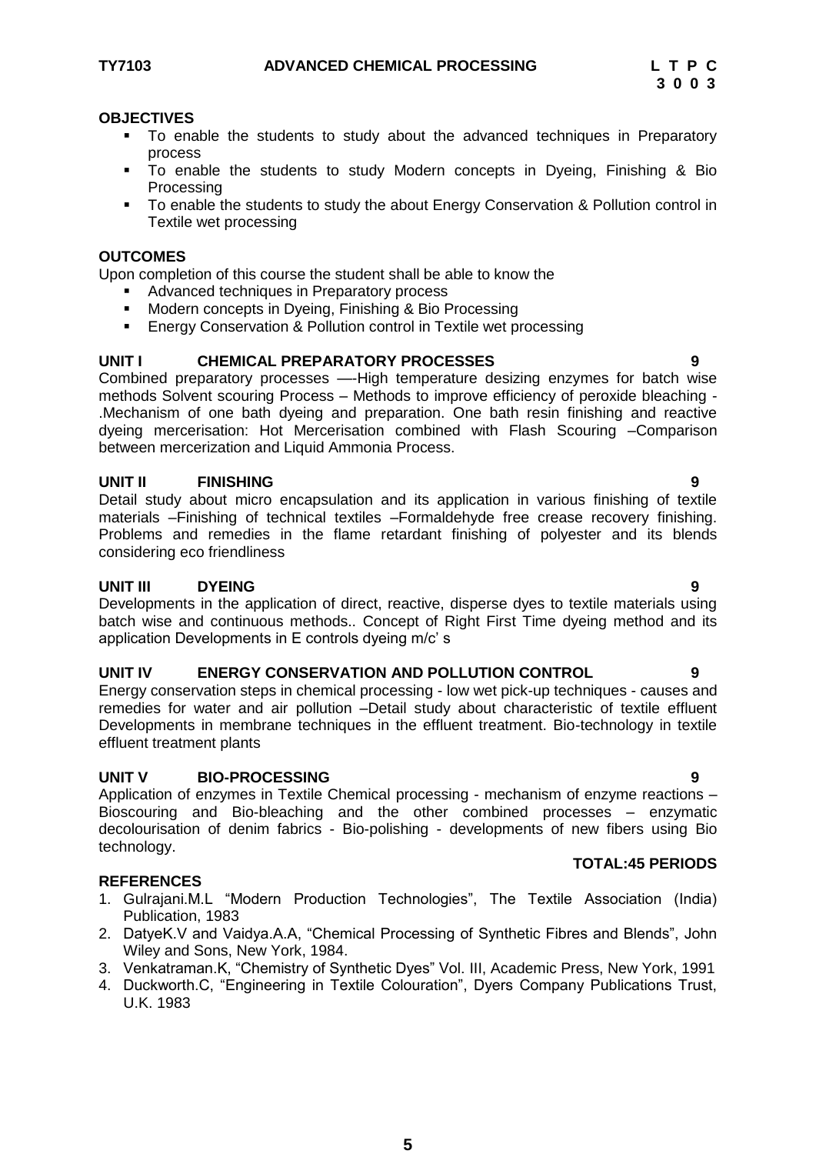- To enable the students to study about the advanced techniques in Preparatory process
- To enable the students to study Modern concepts in Dyeing, Finishing & Bio Processing
- To enable the students to study the about Energy Conservation & Pollution control in Textile wet processing

### **OUTCOMES**

Upon completion of this course the student shall be able to know the

- Advanced techniques in Preparatory process
- Modern concepts in Dyeing, Finishing & Bio Processing
- Energy Conservation & Pollution control in Textile wet processing

## **UNIT I CHEMICAL PREPARATORY PROCESSES 9**

Combined preparatory processes —-High temperature desizing enzymes for batch wise methods Solvent scouring Process – Methods to improve efficiency of peroxide bleaching - .Mechanism of one bath dyeing and preparation. One bath resin finishing and reactive dyeing mercerisation: Hot Mercerisation combined with Flash Scouring –Comparison between mercerization and Liquid Ammonia Process.

### **UNIT II FINISHING 9**

Detail study about micro encapsulation and its application in various finishing of textile materials –Finishing of technical textiles –Formaldehyde free crease recovery finishing. Problems and remedies in the flame retardant finishing of polyester and its blends considering eco friendliness

## **UNIT III DYEING 9**

Developments in the application of direct, reactive, disperse dyes to textile materials using batch wise and continuous methods.. Concept of Right First Time dyeing method and its application Developments in E controls dyeing m/c' s

#### **UNIT IV ENERGY CONSERVATION AND POLLUTION CONTROL 9**

Energy conservation steps in chemical processing - low wet pick-up techniques - causes and remedies for water and air pollution –Detail study about characteristic of textile effluent Developments in membrane techniques in the effluent treatment. Bio-technology in textile effluent treatment plants

## **UNIT V BIO-PROCESSING 9**

Application of enzymes in Textile Chemical processing - mechanism of enzyme reactions – Bioscouring and Bio-bleaching and the other combined processes – enzymatic decolourisation of denim fabrics - Bio-polishing - developments of new fibers using Bio technology.

## **REFERENCES**

- 1. Gulrajani.M.L "Modern Production Technologies", The Textile Association (India) Publication, 1983
- 2. DatyeK.V and Vaidya.A.A, "Chemical Processing of Synthetic Fibres and Blends", John Wiley and Sons, New York, 1984.
- 3. Venkatraman.K, "Chemistry of Synthetic Dyes" Vol. III, Academic Press, New York, 1991
- 4. Duckworth.C, "Engineering in Textile Colouration", Dyers Company Publications Trust, U.K. 1983

## **TOTAL:45 PERIODS**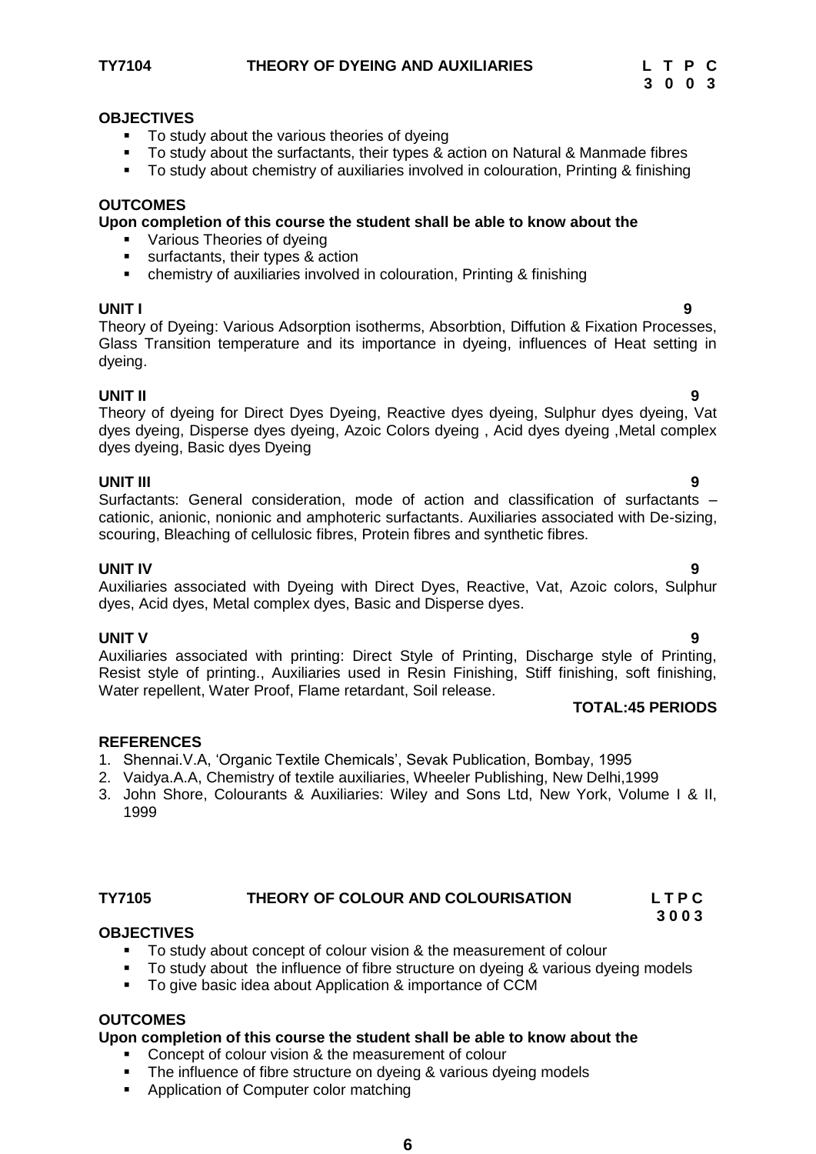### **TY7104 THEORY OF DYEING AND AUXILIARIES L T P C**



#### **OBJECTIVES**

- To study about the various theories of dyeing
- To study about the surfactants, their types & action on Natural & Manmade fibres
- To study about chemistry of auxiliaries involved in colouration, Printing & finishing

#### **OUTCOMES**

#### **Upon completion of this course the student shall be able to know about the**

- **•** Various Theories of dveing
- surfactants, their types & action
- chemistry of auxiliaries involved in colouration, Printing & finishing

#### **UNIT I 9**

Theory of Dyeing: Various Adsorption isotherms, Absorbtion, Diffution & Fixation Processes, Glass Transition temperature and its importance in dyeing, influences of Heat setting in dyeing.

#### **UNIT II 9**

Theory of dyeing for Direct Dyes Dyeing, Reactive dyes dyeing, Sulphur dyes dyeing, Vat dyes dyeing, Disperse dyes dyeing, Azoic Colors dyeing , Acid dyes dyeing ,Metal complex dyes dyeing, Basic dyes Dyeing

#### **UNIT III 9**

Surfactants: General consideration, mode of action and classification of surfactants – cationic, anionic, nonionic and amphoteric surfactants. Auxiliaries associated with De-sizing, scouring, Bleaching of cellulosic fibres, Protein fibres and synthetic fibres.

#### **UNIT IV 9**

Auxiliaries associated with Dyeing with Direct Dyes, Reactive, Vat, Azoic colors, Sulphur dyes, Acid dyes, Metal complex dyes, Basic and Disperse dyes.

#### **UNIT V 9**

Auxiliaries associated with printing: Direct Style of Printing, Discharge style of Printing, Resist style of printing., Auxiliaries used in Resin Finishing, Stiff finishing, soft finishing, Water repellent, Water Proof, Flame retardant, Soil release.

#### **TOTAL:45 PERIODS**

#### **REFERENCES**

- 1. Shennai.V.A, ‗Organic Textile Chemicals', Sevak Publication, Bombay, 1995
- 2. Vaidya.A.A, Chemistry of textile auxiliaries, Wheeler Publishing, New Delhi,1999
- 3. John Shore, Colourants & Auxiliaries: Wiley and Sons Ltd, New York, Volume I & II, 1999

#### **TY7105 THEORY OF COLOUR AND COLOURISATION L T P C**

## **3 0 0 3**

#### **OBJECTIVES**

- To study about concept of colour vision & the measurement of colour
- To study about the influence of fibre structure on dyeing & various dyeing models
- To give basic idea about Application & importance of CCM

## **OUTCOMES**

#### **Upon completion of this course the student shall be able to know about the**

- **Concept of colour vision & the measurement of colour**
- The influence of fibre structure on dyeing & various dyeing models
- **Application of Computer color matching**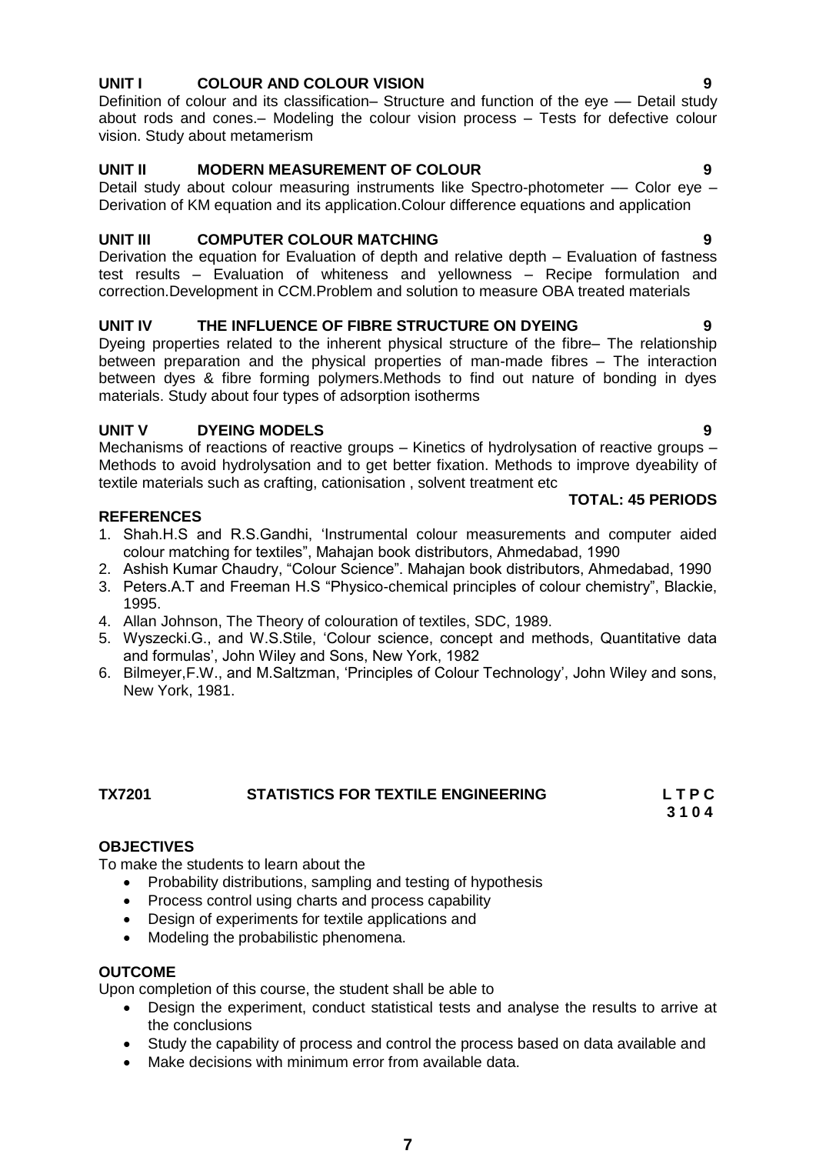## **UNIT I COLOUR AND COLOUR VISION 9**

Definition of colour and its classification– Structure and function of the eye — Detail study about rods and cones.– Modeling the colour vision process – Tests for defective colour vision. Study about metamerism

## **UNIT II MODERN MEASUREMENT OF COLOUR 9**

Detail study about colour measuring instruments like Spectro-photometer — Color eye – Derivation of KM equation and its application.Colour difference equations and application

## **UNIT III COMPUTER COLOUR MATCHING**

Derivation the equation for Evaluation of depth and relative depth – Evaluation of fastness test results – Evaluation of whiteness and yellowness – Recipe formulation and correction.Development in CCM.Problem and solution to measure OBA treated materials

## **UNIT IV THE INFLUENCE OF FIBRE STRUCTURE ON DYEING 9**

Dyeing properties related to the inherent physical structure of the fibre– The relationship between preparation and the physical properties of man-made fibres – The interaction between dyes & fibre forming polymers.Methods to find out nature of bonding in dyes materials. Study about four types of adsorption isotherms

## **UNIT V DYEING MODELS 9**

Mechanisms of reactions of reactive groups – Kinetics of hydrolysation of reactive groups – Methods to avoid hydrolysation and to get better fixation. Methods to improve dyeability of textile materials such as crafting, cationisation , solvent treatment etc

## **REFERENCES**

- 1. Shah.H.S and R.S.Gandhi, ‗Instrumental colour measurements and computer aided colour matching for textiles‖, Mahajan book distributors, Ahmedabad, 1990
- 2. Ashish Kumar Chaudry, "Colour Science". Mahajan book distributors, Ahmedabad, 1990
- 3. Peters.A.T and Freeman H.S "Physico-chemical principles of colour chemistry", Blackie, 1995.
- 4. Allan Johnson, The Theory of colouration of textiles, SDC, 1989.
- 5. Wyszecki.G., and W.S.Stile, 'Colour science, concept and methods, Quantitative data and formulas', John Wiley and Sons, New York, 1982
- 6. Bilmeyer,F.W., and M.Saltzman, ‗Principles of Colour Technology', John Wiley and sons, New York, 1981.

#### **TX7201 STATISTICS FOR TEXTILE ENGINEERING L T P C 3 1 0 4**

## **OBJECTIVES**

To make the students to learn about the

- Probability distributions, sampling and testing of hypothesis
- Process control using charts and process capability
- Design of experiments for textile applications and
- Modeling the probabilistic phenomena.

## **OUTCOME**

Upon completion of this course, the student shall be able to

- Design the experiment, conduct statistical tests and analyse the results to arrive at the conclusions
- Study the capability of process and control the process based on data available and
- Make decisions with minimum error from available data.

**TOTAL: 45 PERIODS**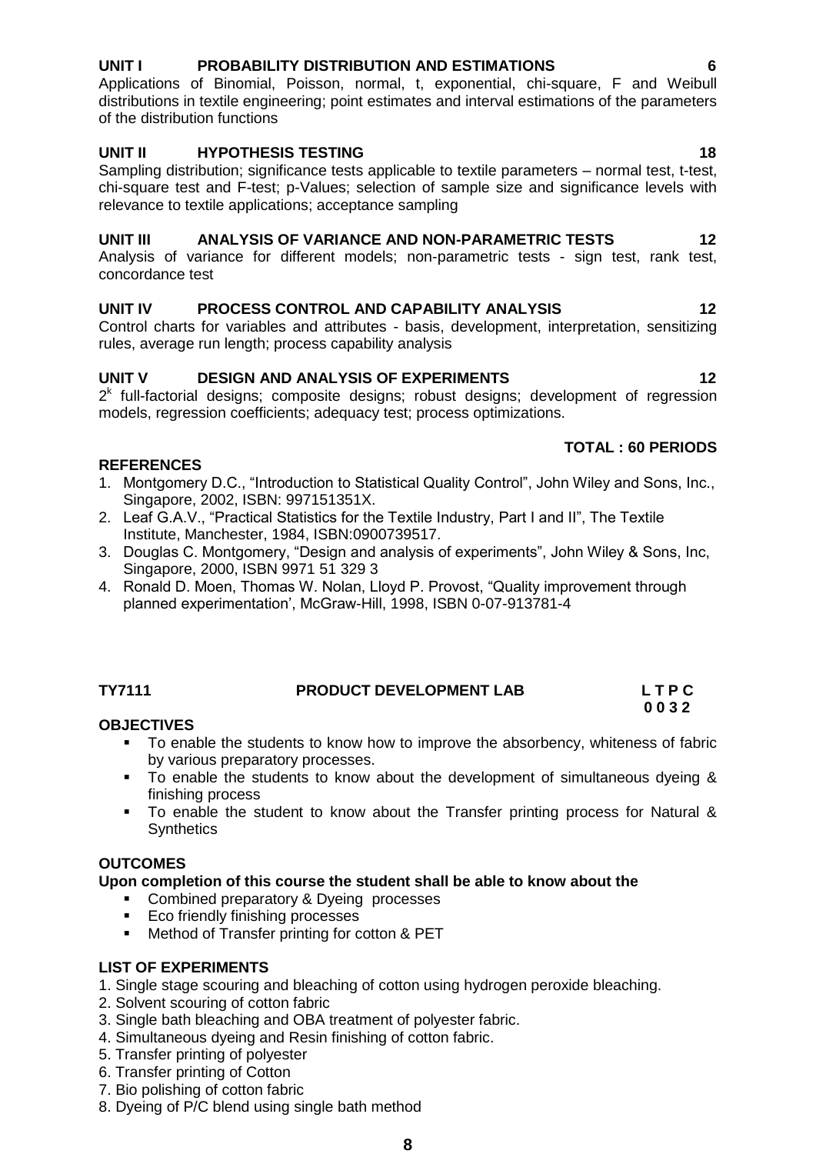## **UNIT I PROBABILITY DISTRIBUTION AND ESTIMATIONS 6**

Applications of Binomial, Poisson, normal, t, exponential, chi-square, F and Weibull distributions in textile engineering; point estimates and interval estimations of the parameters of the distribution functions

## **UNIT II HYPOTHESIS TESTING 18**

Sampling distribution; significance tests applicable to textile parameters – normal test, t-test, chi-square test and F-test; p-Values; selection of sample size and significance levels with relevance to textile applications; acceptance sampling

## **UNIT III ANALYSIS OF VARIANCE AND NON-PARAMETRIC TESTS 12**

Analysis of variance for different models; non-parametric tests - sign test, rank test, concordance test

## **UNIT IV PROCESS CONTROL AND CAPABILITY ANALYSIS 12**

Control charts for variables and attributes - basis, development, interpretation, sensitizing rules, average run length; process capability analysis

## **UNIT V DESIGN AND ANALYSIS OF EXPERIMENTS 12**

 $2<sup>k</sup>$  full-factorial designs; composite designs; robust designs; development of regression models, regression coefficients; adequacy test; process optimizations.

## **TOTAL : 60 PERIODS**

## **REFERENCES**

- 1. Montgomery D.C., "Introduction to Statistical Quality Control", John Wiley and Sons, Inc., Singapore, 2002, ISBN: 997151351X.
- 2. Leaf G.A.V., "Practical Statistics for the Textile Industry, Part I and II", The Textile Institute, Manchester, 1984, ISBN:0900739517.
- 3. Douglas C. Montgomery, "Design and analysis of experiments", John Wiley & Sons, Inc, Singapore, 2000, ISBN 9971 51 329 3
- 4. Ronald D. Moen, Thomas W. Nolan, Lloyd P. Provost, "Quality improvement through planned experimentation', McGraw-Hill, 1998, ISBN 0-07-913781-4

## **TY7111 PRODUCT DEVELOPMENT LAB L T P C**

# **0 0 3 2**

## **OBJECTIVES**

- To enable the students to know how to improve the absorbency, whiteness of fabric by various preparatory processes.
- To enable the students to know about the development of simultaneous dyeing & finishing process
- To enable the student to know about the Transfer printing process for Natural & **Synthetics**

## **OUTCOMES**

## **Upon completion of this course the student shall be able to know about the**

- Combined preparatory & Dyeing processes
- Eco friendly finishing processes
- **Method of Transfer printing for cotton & PET**

## **LIST OF EXPERIMENTS**

1. Single stage scouring and bleaching of cotton using hydrogen peroxide bleaching.

- 2. Solvent scouring of cotton fabric
- 3. Single bath bleaching and OBA treatment of polyester fabric.
- 4. Simultaneous dyeing and Resin finishing of cotton fabric.
- 5. Transfer printing of polyester
- 6. Transfer printing of Cotton
- 7. Bio polishing of cotton fabric
- 8. Dyeing of P/C blend using single bath method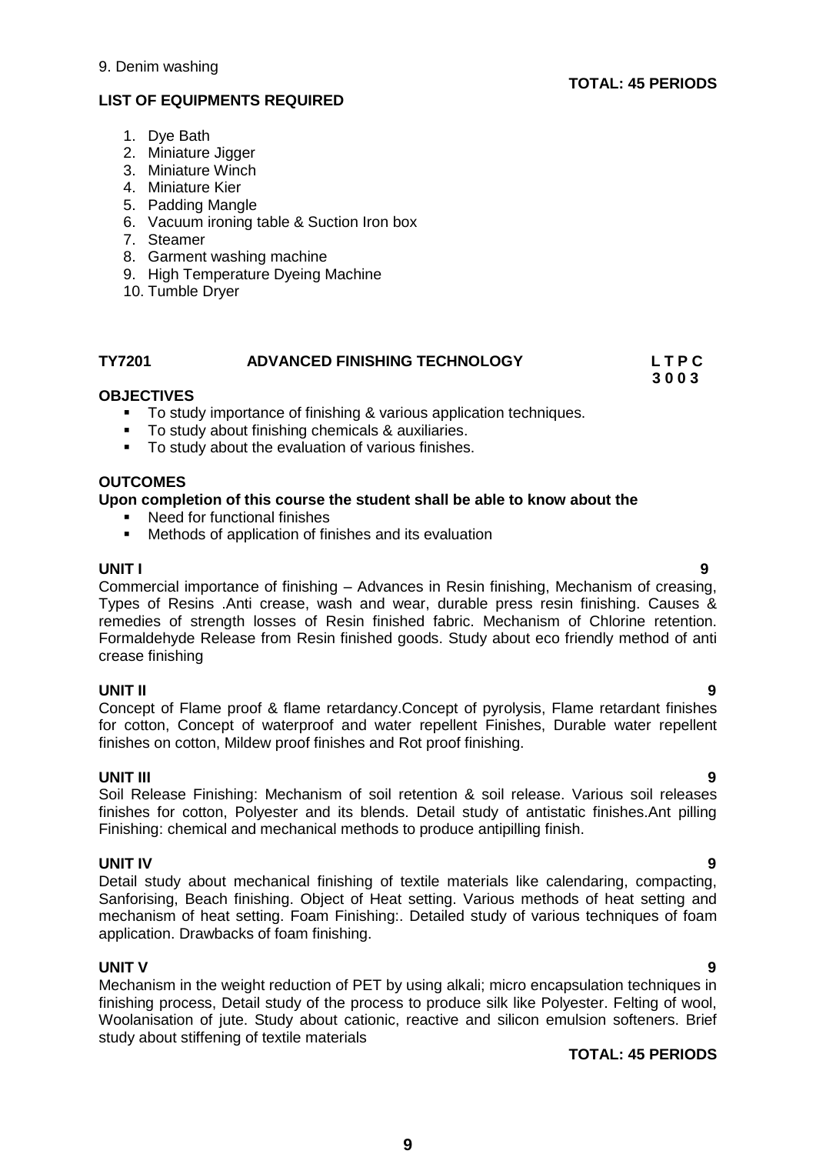## **LIST OF EQUIPMENTS REQUIRED**

- 1. Dye Bath
- 2. Miniature Jigger
- 3. Miniature Winch
- 4. Miniature Kier
- 5. Padding Mangle
- 6. Vacuum ironing table & Suction Iron box
- 7. Steamer
- 8. Garment washing machine
- 9. High Temperature Dyeing Machine
- 10. Tumble Dryer

## **TY7201 ADVANCED FINISHING TECHNOLOGY L T P C**

 **3 0 0 3**

## **OBJECTIVES**

- To study importance of finishing & various application techniques.
- To study about finishing chemicals & auxiliaries.
- To study about the evaluation of various finishes.

### **OUTCOMES**

### **Upon completion of this course the student shall be able to know about the**

- Need for functional finishes
- Methods of application of finishes and its evaluation

**UNIT I 9** Commercial importance of finishing – Advances in Resin finishing, Mechanism of creasing, Types of Resins .Anti crease, wash and wear, durable press resin finishing. Causes & remedies of strength losses of Resin finished fabric. Mechanism of Chlorine retention. Formaldehyde Release from Resin finished goods. Study about eco friendly method of anti crease finishing

#### **UNIT II 9**

Concept of Flame proof & flame retardancy.Concept of pyrolysis, Flame retardant finishes for cotton, Concept of waterproof and water repellent Finishes, Durable water repellent finishes on cotton, Mildew proof finishes and Rot proof finishing.

**UNIT III 9** Soil Release Finishing: Mechanism of soil retention & soil release. Various soil releases finishes for cotton, Polyester and its blends. Detail study of antistatic finishes.Ant pilling Finishing: chemical and mechanical methods to produce antipilling finish.

#### **UNIT IV 9**

Detail study about mechanical finishing of textile materials like calendaring, compacting, Sanforising, Beach finishing. Object of Heat setting. Various methods of heat setting and mechanism of heat setting. Foam Finishing:. Detailed study of various techniques of foam application. Drawbacks of foam finishing.

## **UNIT V 9**

Mechanism in the weight reduction of PET by using alkali; micro encapsulation techniques in finishing process, Detail study of the process to produce silk like Polyester. Felting of wool, Woolanisation of jute. Study about cationic, reactive and silicon emulsion softeners. Brief study about stiffening of textile materials

## **TOTAL: 45 PERIODS**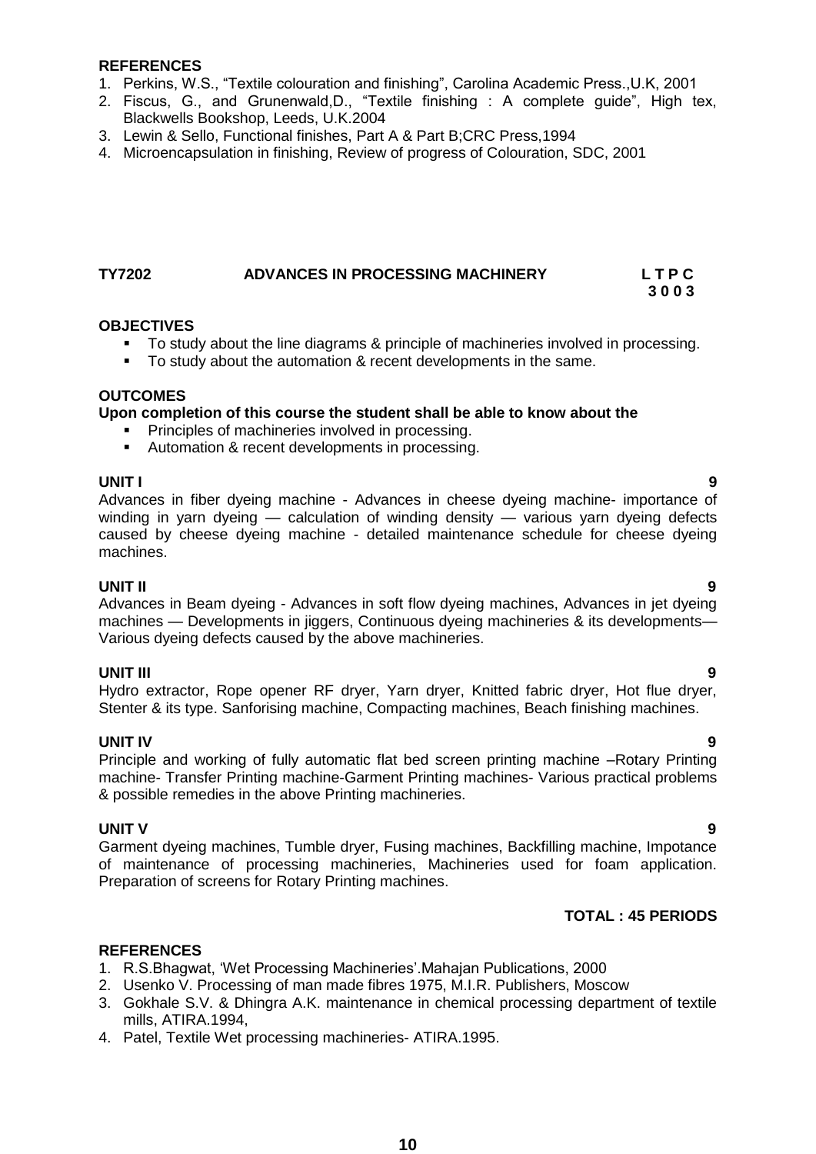### **REFERENCES**

- 1. Perkins, W.S., "Textile colouration and finishing", Carolina Academic Press., U.K. 2001
- 2. Fiscus, G., and Grunenwald, D., "Textile finishing : A complete quide". High tex, Blackwells Bookshop, Leeds, U.K.2004
- 3. Lewin & Sello, Functional finishes, Part A & Part B;CRC Press,1994
- 4. Microencapsulation in finishing, Review of progress of Colouration, SDC, 2001

## **TY7202 ADVANCES IN PROCESSING MACHINERY L T P C**

### **OBJECTIVES**

To study about the line diagrams & principle of machineries involved in processing.

 **3 0 0 3**

To study about the automation & recent developments in the same.

#### **OUTCOMES**

## **Upon completion of this course the student shall be able to know about the**

- **Principles of machineries involved in processing.**
- **Automation & recent developments in processing.**

**UNIT I 9** Advances in fiber dyeing machine - Advances in cheese dyeing machine- importance of winding in yarn dyeing — calculation of winding density — various yarn dyeing defects caused by cheese dyeing machine - detailed maintenance schedule for cheese dyeing machines.

#### **UNIT II 9**

Advances in Beam dyeing - Advances in soft flow dyeing machines, Advances in jet dyeing machines — Developments in jiggers, Continuous dyeing machineries & its developments— Various dyeing defects caused by the above machineries.

### **UNIT III 9**

Hydro extractor, Rope opener RF dryer, Yarn dryer, Knitted fabric dryer, Hot flue dryer, Stenter & its type. Sanforising machine, Compacting machines, Beach finishing machines.

#### **UNIT IV 9**

Principle and working of fully automatic flat bed screen printing machine –Rotary Printing machine- Transfer Printing machine-Garment Printing machines- Various practical problems & possible remedies in the above Printing machineries.

#### **UNIT V 9**

Garment dyeing machines, Tumble dryer, Fusing machines, Backfilling machine, Impotance of maintenance of processing machineries, Machineries used for foam application. Preparation of screens for Rotary Printing machines.

## **TOTAL : 45 PERIODS**

- 1. R.S.Bhagwat, ‗Wet Processing Machineries'.Mahajan Publications, 2000
- 2. Usenko V. Processing of man made fibres 1975, M.I.R. Publishers, Moscow
- 3. Gokhale S.V. & Dhingra A.K. maintenance in chemical processing department of textile mills, ATIRA.1994,
- 4. Patel, Textile Wet processing machineries- ATIRA.1995.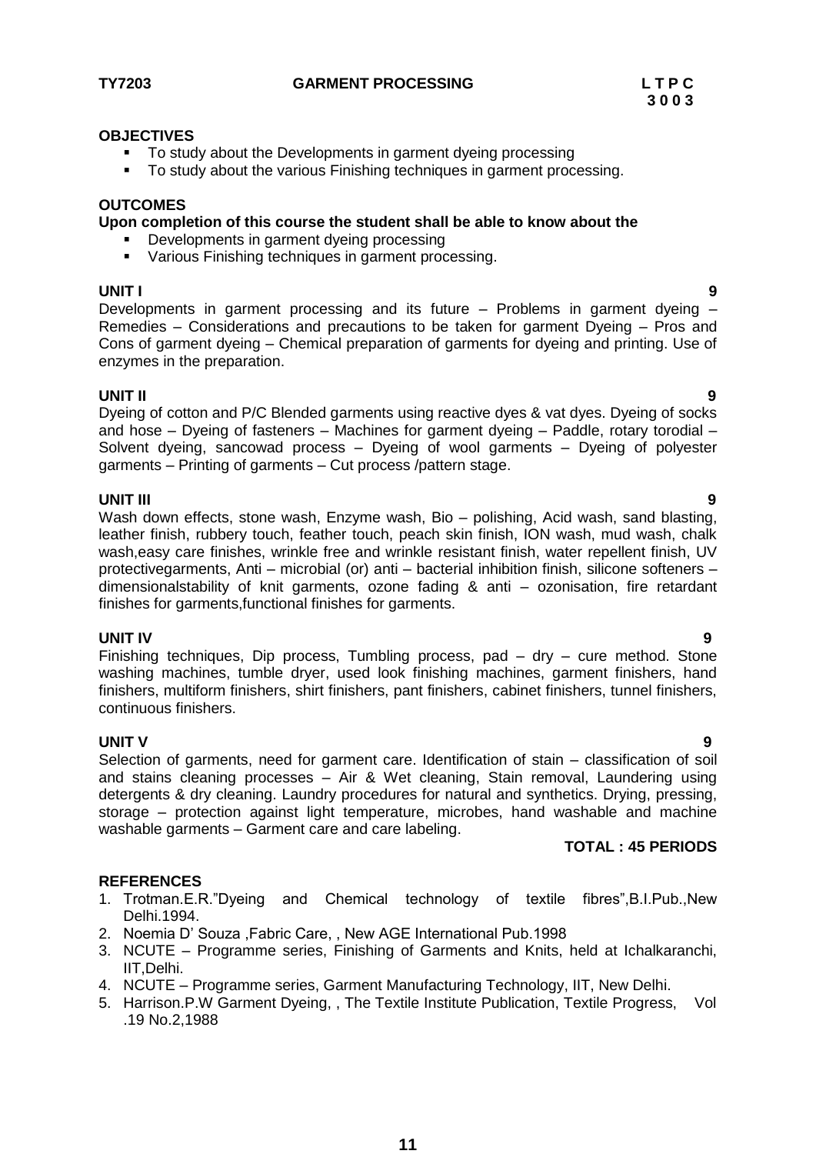### **TY7203 GARMENT PROCESSING L T P C**

#### **OBJECTIVES**

- To study about the Developments in garment dyeing processing
- To study about the various Finishing techniques in garment processing.

### **OUTCOMES**

#### **Upon completion of this course the student shall be able to know about the**

- Developments in garment dyeing processing
- Various Finishing techniques in garment processing.

**UNIT I 9** Developments in garment processing and its future – Problems in garment dyeing – Remedies – Considerations and precautions to be taken for garment Dyeing – Pros and Cons of garment dyeing – Chemical preparation of garments for dyeing and printing. Use of enzymes in the preparation.

#### **UNIT II 9**

Dyeing of cotton and P/C Blended garments using reactive dyes & vat dyes. Dyeing of socks and hose – Dyeing of fasteners – Machines for garment dyeing – Paddle, rotary torodial – Solvent dyeing, sancowad process – Dyeing of wool garments – Dyeing of polyester garments – Printing of garments – Cut process /pattern stage.

#### **UNIT III 9**

Wash down effects, stone wash, Enzyme wash, Bio – polishing, Acid wash, sand blasting, leather finish, rubbery touch, feather touch, peach skin finish, ION wash, mud wash, chalk wash,easy care finishes, wrinkle free and wrinkle resistant finish, water repellent finish, UV protectivegarments, Anti – microbial (or) anti – bacterial inhibition finish, silicone softeners – dimensionalstability of knit garments, ozone fading & anti – ozonisation, fire retardant finishes for garments,functional finishes for garments.

**UNIT IV 9** Finishing techniques, Dip process, Tumbling process, pad – dry – cure method. Stone washing machines, tumble dryer, used look finishing machines, garment finishers, hand finishers, multiform finishers, shirt finishers, pant finishers, cabinet finishers, tunnel finishers, continuous finishers.

#### **UNIT V 9**

Selection of garments, need for garment care. Identification of stain – classification of soil and stains cleaning processes – Air & Wet cleaning, Stain removal, Laundering using detergents & dry cleaning. Laundry procedures for natural and synthetics. Drying, pressing, storage – protection against light temperature, microbes, hand washable and machine washable garments – Garment care and care labeling.

## **TOTAL : 45 PERIODS**

- 1. Trotman.E.R. "Dyeing and Chemical technology of textile fibres", B.I. Pub., New Delhi.1994.
- 2. Noemia D' Souza ,Fabric Care, , New AGE International Pub.1998
- 3. NCUTE Programme series, Finishing of Garments and Knits, held at Ichalkaranchi, IIT,Delhi.
- 4. NCUTE Programme series, Garment Manufacturing Technology, IIT, New Delhi.
- 5. Harrison.P.W Garment Dyeing, , The Textile Institute Publication, Textile Progress, Vol .19 No.2,1988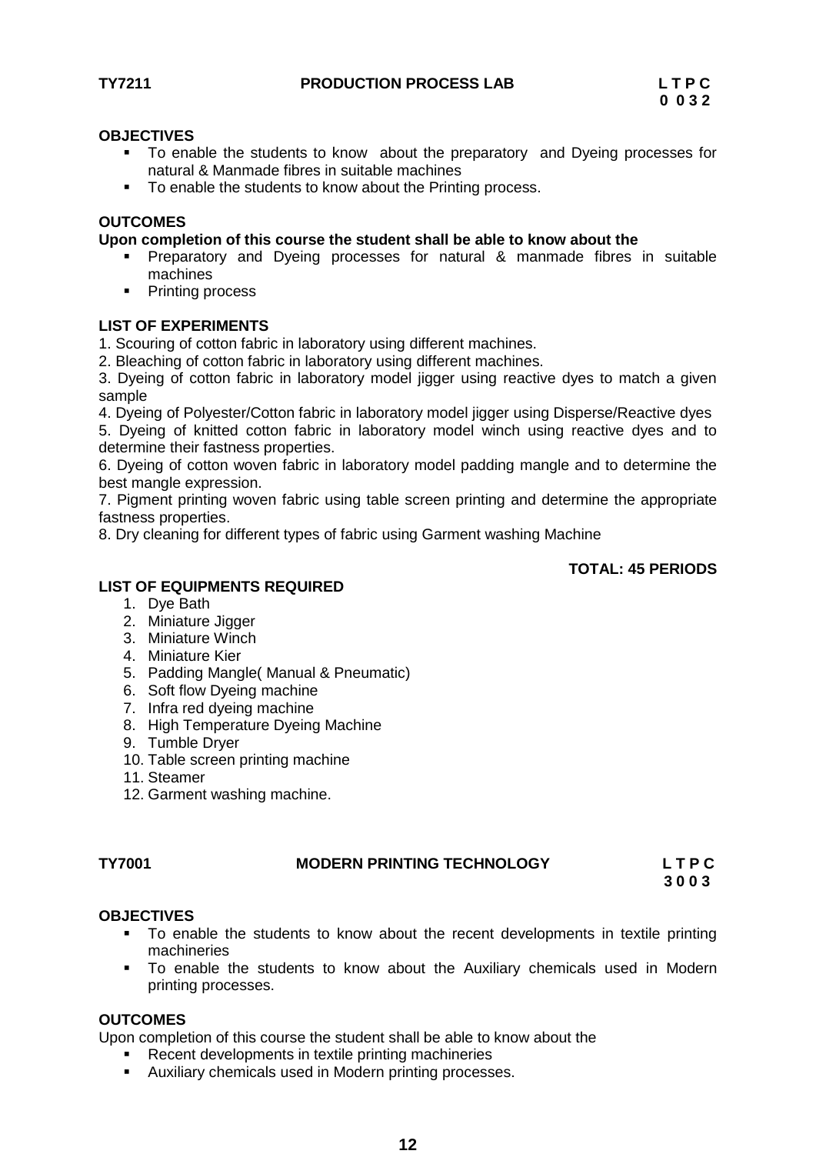- To enable the students to know about the preparatory and Dyeing processes for natural & Manmade fibres in suitable machines
- To enable the students to know about the Printing process.

### **OUTCOMES**

### **Upon completion of this course the student shall be able to know about the**

- Preparatory and Dyeing processes for natural & manmade fibres in suitable machines
- Printing process

### **LIST OF EXPERIMENTS**

1. Scouring of cotton fabric in laboratory using different machines.

2. Bleaching of cotton fabric in laboratory using different machines.

3. Dyeing of cotton fabric in laboratory model jigger using reactive dyes to match a given sample

4. Dyeing of Polyester/Cotton fabric in laboratory model jigger using Disperse/Reactive dyes

5. Dyeing of knitted cotton fabric in laboratory model winch using reactive dyes and to determine their fastness properties.

6. Dyeing of cotton woven fabric in laboratory model padding mangle and to determine the best mangle expression.

7. Pigment printing woven fabric using table screen printing and determine the appropriate fastness properties.

8. Dry cleaning for different types of fabric using Garment washing Machine

### **TOTAL: 45 PERIODS**

## **LIST OF EQUIPMENTS REQUIRED**

- 1. Dye Bath
- 2. Miniature Jigger
- 3. Miniature Winch
- 4. Miniature Kier
- 5. Padding Mangle( Manual & Pneumatic)
- 6. Soft flow Dyeing machine
- 7. Infra red dyeing machine
- 8. High Temperature Dyeing Machine
- 9. Tumble Dryer
- 10. Table screen printing machine
- 11. Steamer
- 12. Garment washing machine.

## **TY7001 MODERN PRINTING TECHNOLOGY L T P C**

 **3 0 0 3**

## **OBJECTIVES**

- To enable the students to know about the recent developments in textile printing machineries
- To enable the students to know about the Auxiliary chemicals used in Modern printing processes.

## **OUTCOMES**

Upon completion of this course the student shall be able to know about the

- Recent developments in textile printing machineries
- Auxiliary chemicals used in Modern printing processes.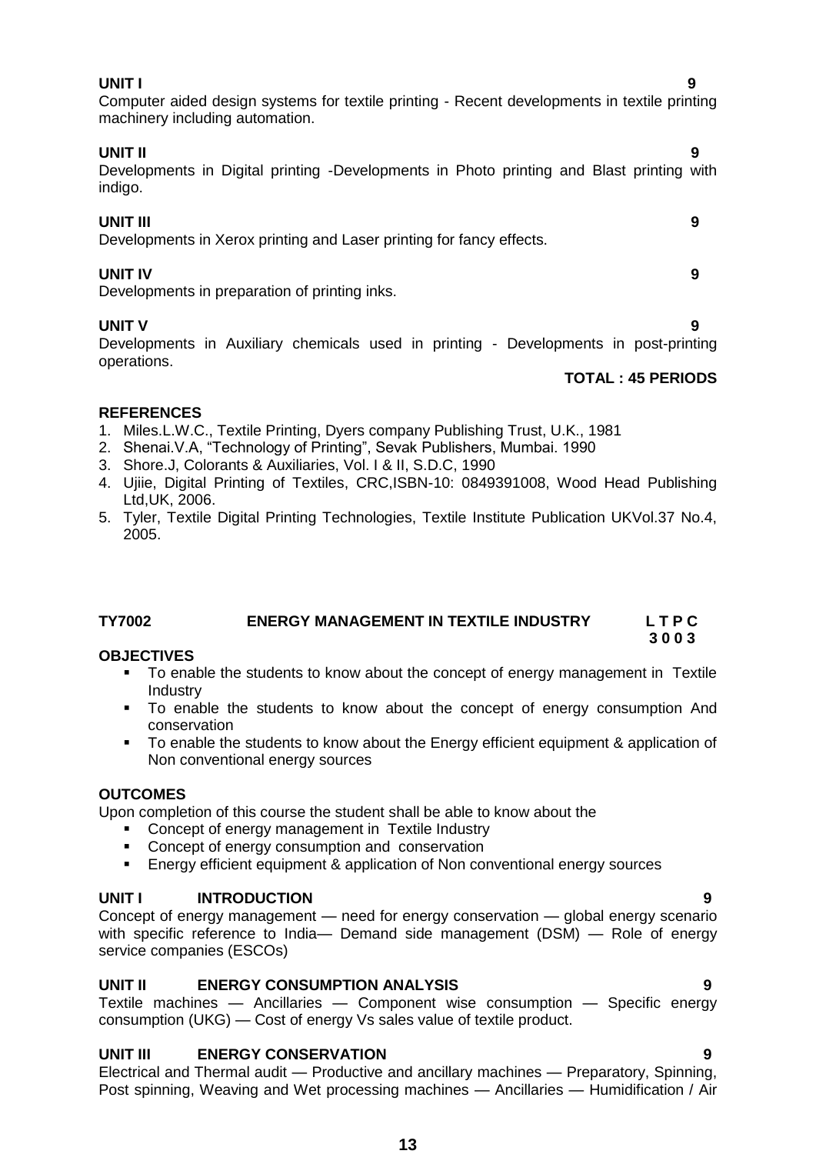**UNIT I 9** Computer aided design systems for textile printing - Recent developments in textile printing machinery including automation.

## **UNIT II 9**

Developments in Digital printing -Developments in Photo printing and Blast printing with indigo.

## **UNIT III 9**

Developments in Xerox printing and Laser printing for fancy effects.

## **UNIT IV 9**

Developments in preparation of printing inks.

## **UNIT V** 9

Developments in Auxiliary chemicals used in printing - Developments in post-printing operations.

## **TOTAL : 45 PERIODS**

## **REFERENCES**

- 1. Miles.L.W.C., Textile Printing, Dyers company Publishing Trust, U.K., 1981
- 2. Shenai. V.A, "Technology of Printing", Sevak Publishers, Mumbai. 1990
- 3. Shore.J, Colorants & Auxiliaries, Vol. I & II, S.D.C, 1990
- 4. Ujiie, Digital Printing of Textiles, CRC,ISBN-10: 0849391008, Wood Head Publishing Ltd,UK, 2006.
- 5. Tyler, Textile Digital Printing Technologies, Textile Institute Publication UKVol.37 No.4, 2005.

## **TY7002 ENERGY MANAGEMENT IN TEXTILE INDUSTRY L T P C**

## **OBJECTIVES**

 To enable the students to know about the concept of energy management in Textile Industry

 **3 0 0 3**

- To enable the students to know about the concept of energy consumption And conservation
- To enable the students to know about the Energy efficient equipment & application of Non conventional energy sources

## **OUTCOMES**

Upon completion of this course the student shall be able to know about the

- Concept of energy management in Textile Industry
- Concept of energy consumption and conservation
- Energy efficient equipment & application of Non conventional energy sources

## **UNIT I INTRODUCTION 9**

Concept of energy management — need for energy conservation — global energy scenario with specific reference to India— Demand side management (DSM) — Role of energy service companies (ESCOs)

## **UNIT II ENERGY CONSUMPTION ANALYSIS 9**

Textile machines — Ancillaries — Component wise consumption — Specific energy consumption (UKG) — Cost of energy Vs sales value of textile product.

## **UNIT III ENERGY CONSERVATION 9**

Electrical and Thermal audit — Productive and ancillary machines — Preparatory, Spinning, Post spinning, Weaving and Wet processing machines — Ancillaries — Humidification / Air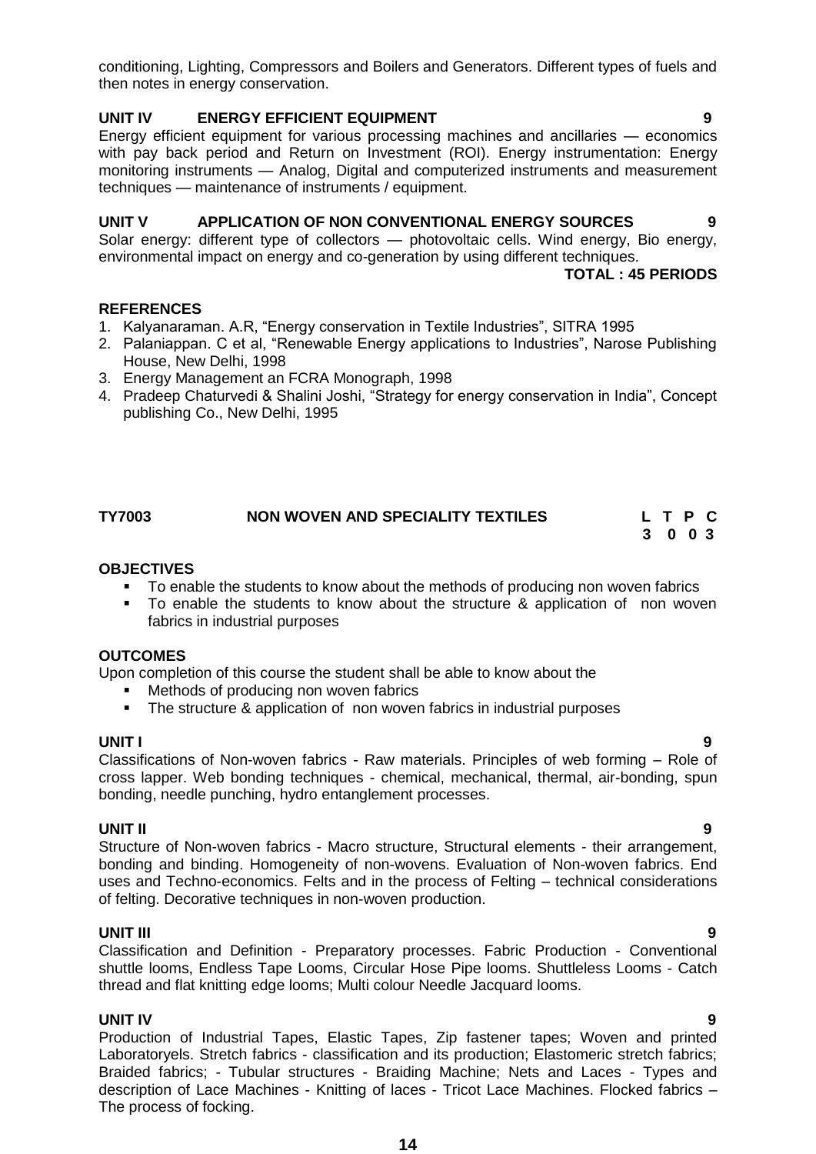conditioning, Lighting, Compressors and Boilers and Generators. Different types of fuels and then notes in energy conservation.

### **UNIT IV ENERGY EFFICIENT EQUIPMENT 9**

Energy efficient equipment for various processing machines and ancillaries — economics with pay back period and Return on Investment (ROI). Energy instrumentation: Energy monitoring instruments — Analog, Digital and computerized instruments and measurement techniques — maintenance of instruments / equipment.

### **UNIT V APPLICATION OF NON CONVENTIONAL ENERGY SOURCES 9**

Solar energy: different type of collectors — photovoltaic cells. Wind energy, Bio energy, environmental impact on energy and co-generation by using different techniques.

**TOTAL : 45 PERIODS**

#### **REFERENCES**

- 1. Kalyanaraman. A.R, "Energy conservation in Textile Industries", SITRA 1995
- 2. Palaniappan. C et al, "Renewable Energy applications to Industries", Narose Publishing House, New Delhi, 1998
- 3. Energy Management an FCRA Monograph, 1998
- 4. Pradeep Chaturvedi & Shalini Joshi, "Strategy for energy conservation in India", Concept publishing Co., New Delhi, 1995

## **TY7003 NON WOVEN AND SPECIALITY TEXTILES L T P C**

 **3 0 0 3**

### **OBJECTIVES**

- To enable the students to know about the methods of producing non woven fabrics
- To enable the students to know about the structure & application of non woven fabrics in industrial purposes

## **OUTCOMES**

Upon completion of this course the student shall be able to know about the

- Methods of producing non woven fabrics
- The structure & application of non woven fabrics in industrial purposes

#### **UNIT I 9**

Classifications of Non-woven fabrics - Raw materials. Principles of web forming – Role of cross lapper. Web bonding techniques - chemical, mechanical, thermal, air-bonding, spun bonding, needle punching, hydro entanglement processes.

#### **UNIT II 9**

Structure of Non-woven fabrics - Macro structure, Structural elements - their arrangement, bonding and binding. Homogeneity of non-wovens. Evaluation of Non-woven fabrics. End uses and Techno-economics. Felts and in the process of Felting – technical considerations of felting. Decorative techniques in non-woven production.

#### **UNIT III 9**

Classification and Definition - Preparatory processes. Fabric Production - Conventional shuttle looms, Endless Tape Looms, Circular Hose Pipe looms. Shuttleless Looms - Catch thread and flat knitting edge looms; Multi colour Needle Jacquard looms.

#### **UNIT IV 9**

Production of Industrial Tapes, Elastic Tapes, Zip fastener tapes; Woven and printed Laboratoryels. Stretch fabrics - classification and its production; Elastomeric stretch fabrics; Braided fabrics; - Tubular structures - Braiding Machine; Nets and Laces - Types and description of Lace Machines - Knitting of laces - Tricot Lace Machines. Flocked fabrics – The process of focking.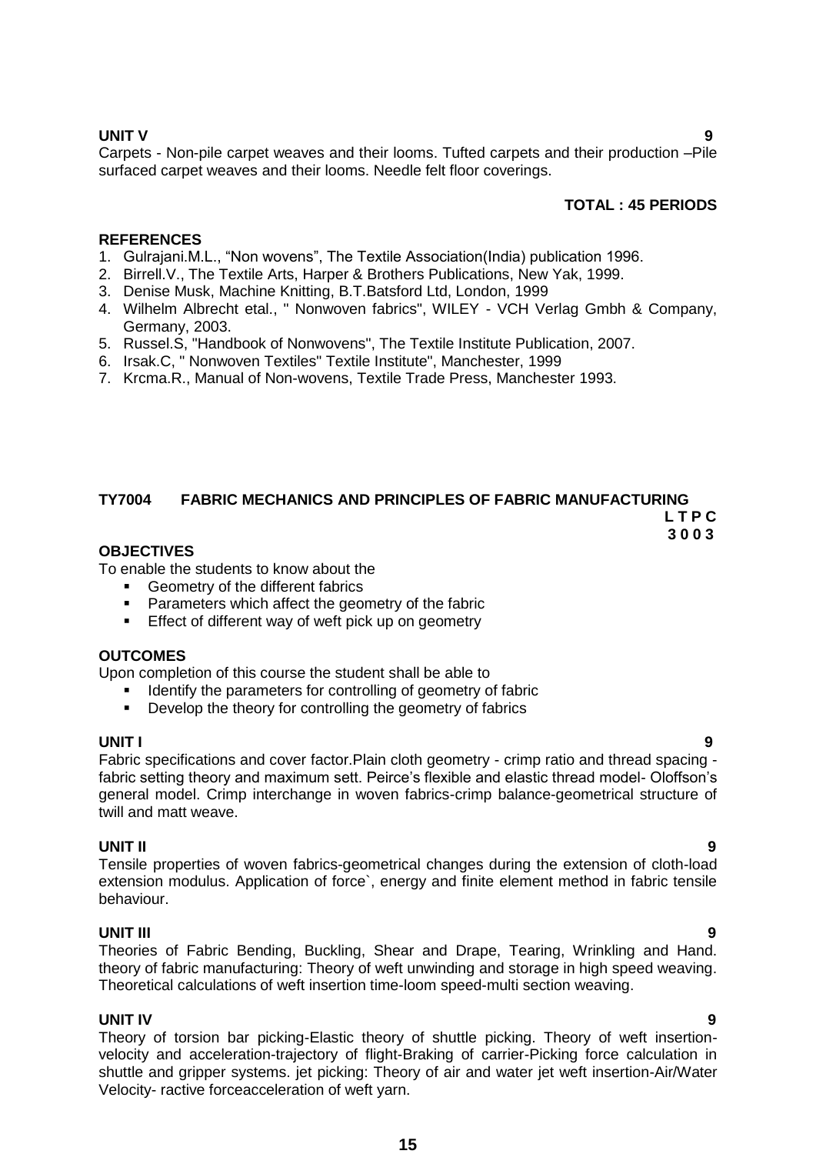**UNIT V 9** Carpets - Non-pile carpet weaves and their looms. Tufted carpets and their production –Pile surfaced carpet weaves and their looms. Needle felt floor coverings.

### **TOTAL : 45 PERIODS**

### **REFERENCES**

- 1. Gulrajani.M.L., "Non wovens", The Textile Association(India) publication 1996.
- 2. Birrell.V., The Textile Arts, Harper & Brothers Publications, New Yak, 1999.
- 3. Denise Musk, Machine Knitting, B.T.Batsford Ltd, London, 1999
- 4. Wilhelm Albrecht etal., " Nonwoven fabrics", WILEY VCH Verlag Gmbh & Company, Germany, 2003.
- 5. Russel.S, "Handbook of Nonwovens", The Textile Institute Publication, 2007.
- 6. Irsak.C, " Nonwoven Textiles" Textile Institute", Manchester, 1999
- 7. Krcma.R., Manual of Non-wovens, Textile Trade Press, Manchester 1993.

## **TY7004 FABRIC MECHANICS AND PRINCIPLES OF FABRIC MANUFACTURING**

 **L T P C 3 0 0 3**

#### **OBJECTIVES**

To enable the students to know about the

- Geometry of the different fabrics
- Parameters which affect the geometry of the fabric
- **Effect of different way of weft pick up on geometry**

#### **OUTCOMES**

Upon completion of this course the student shall be able to

- Identify the parameters for controlling of geometry of fabric
- Develop the theory for controlling the geometry of fabrics

#### **UNIT I 9**

Fabric specifications and cover factor.Plain cloth geometry - crimp ratio and thread spacing fabric setting theory and maximum sett. Peirce's flexible and elastic thread model- Oloffson's general model. Crimp interchange in woven fabrics-crimp balance-geometrical structure of twill and matt weave.

#### **UNIT II 9**

Tensile properties of woven fabrics-geometrical changes during the extension of cloth-load extension modulus. Application of force`, energy and finite element method in fabric tensile behaviour.

#### **UNIT III 9**

Theories of Fabric Bending, Buckling, Shear and Drape, Tearing, Wrinkling and Hand. theory of fabric manufacturing: Theory of weft unwinding and storage in high speed weaving. Theoretical calculations of weft insertion time-loom speed-multi section weaving.

#### **UNIT IV 9**

Theory of torsion bar picking-Elastic theory of shuttle picking. Theory of weft insertionvelocity and acceleration-trajectory of flight-Braking of carrier-Picking force calculation in shuttle and gripper systems. jet picking: Theory of air and water jet weft insertion-Air/Water Velocity- ractive forceacceleration of weft yarn.

**15**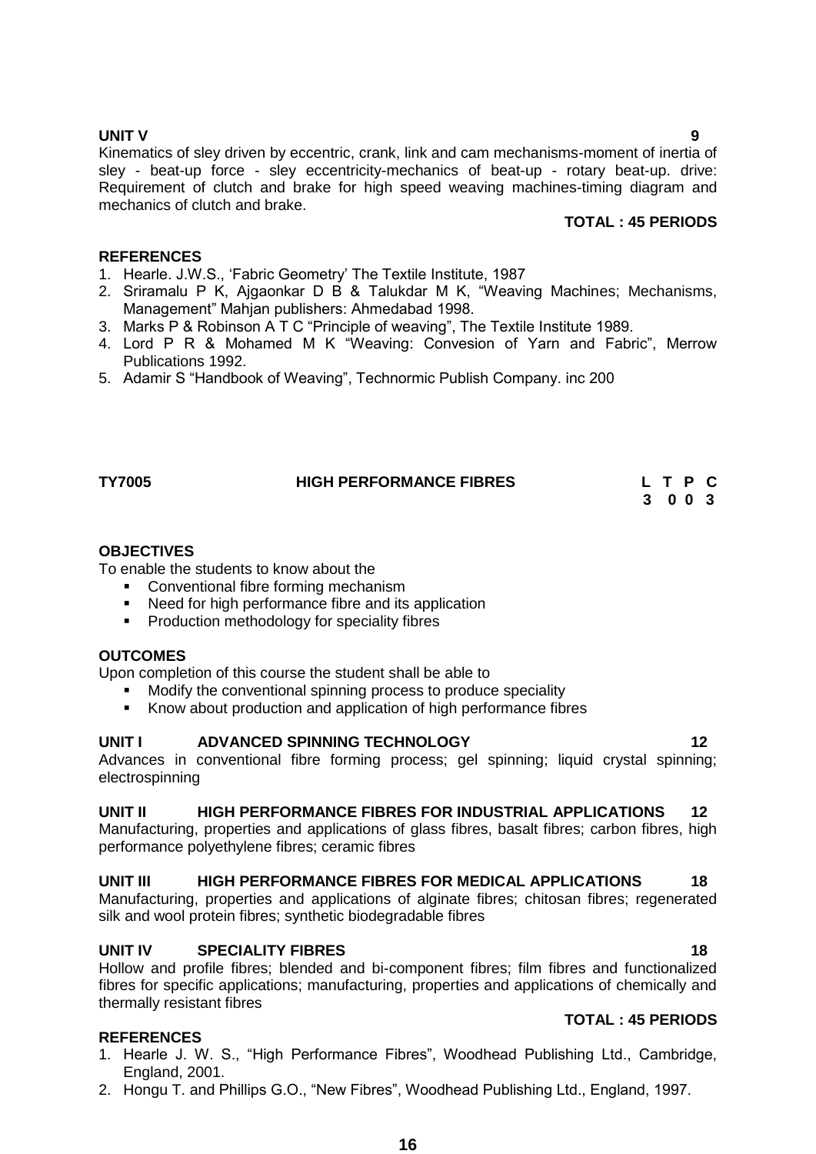**REFERENCES**

To enable the students to know about the

mechanics of clutch and brake.

Publications 1992.

- Conventional fibre forming mechanism
- Need for high performance fibre and its application

1. Hearle. J.W.S., ‗Fabric Geometry' The Textile Institute, 1987

Management" Mahjan publishers: Ahmedabad 1998.

**Production methodology for speciality fibres** 

#### **OUTCOMES**

Upon completion of this course the student shall be able to

- Modify the conventional spinning process to produce speciality
- Know about production and application of high performance fibres

#### **UNIT I ADVANCED SPINNING TECHNOLOGY 12**

Advances in conventional fibre forming process; gel spinning; liquid crystal spinning; electrospinning

Kinematics of sley driven by eccentric, crank, link and cam mechanisms-moment of inertia of sley - beat-up force - sley eccentricity-mechanics of beat-up - rotary beat-up. drive: Requirement of clutch and brake for high speed weaving machines-timing diagram and

2. Sriramalu P K, Ajgaonkar D B & Talukdar M K, "Weaving Machines; Mechanisms,

4. Lord P R & Mohamed M K "Weaving: Convesion of Yarn and Fabric", Merrow

**TY7005 HIGH PERFORMANCE FIBRES L T P C**

3. Marks P & Robinson A T C "Principle of weaving", The Textile Institute 1989.

5. Adamir S "Handbook of Weaving", Technormic Publish Company. inc 200

## **UNIT II HIGH PERFORMANCE FIBRES FOR INDUSTRIAL APPLICATIONS 12**

Manufacturing, properties and applications of glass fibres, basalt fibres; carbon fibres, high performance polyethylene fibres; ceramic fibres

#### UNIT III HIGH PERFORMANCE FIBRES FOR MEDICAL APPLICATIONS 18

Manufacturing, properties and applications of alginate fibres; chitosan fibres; regenerated silk and wool protein fibres; synthetic biodegradable fibres

#### **UNIT IV SPECIALITY FIBRES** 18

Hollow and profile fibres; blended and bi-component fibres; film fibres and functionalized fibres for specific applications; manufacturing, properties and applications of chemically and thermally resistant fibres

#### **REFERENCES**

- 1. Hearle J. W. S., "High Performance Fibres", Woodhead Publishing Ltd., Cambridge, England, 2001.
- 2. Hongu T. and Phillips G.O., "New Fibres", Woodhead Publishing Ltd., England, 1997.

**TOTAL : 45 PERIODS**

 **3 0 0 3**

**TOTAL : 45 PERIODS**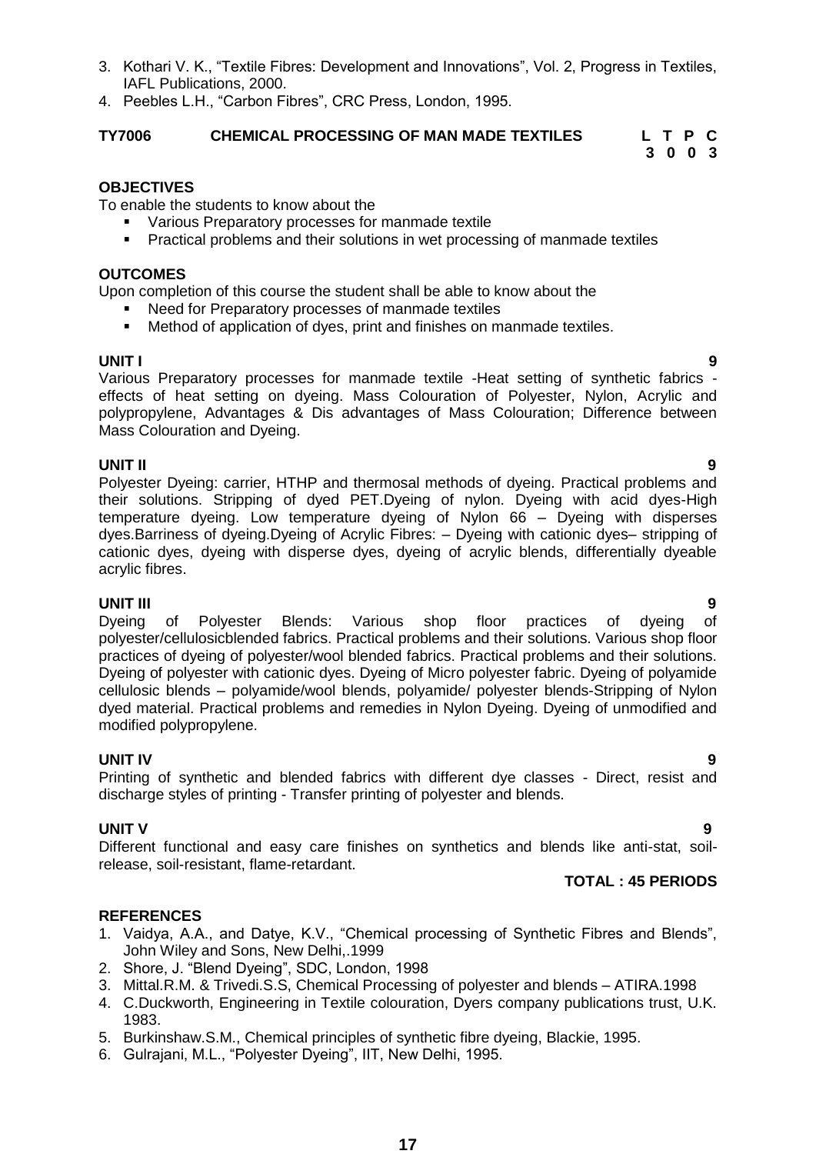- 
- 
- 6. Gulrajani, M.L., "Polyester Dyeing", IIT, New Delhi, 1995.
- 3. Kothari V. K., "Textile Fibres: Development and Innovations", Vol. 2, Progress in Textiles, IAFL Publications, 2000.
- 4. Peebles L.H., "Carbon Fibres", CRC Press, London, 1995.

## **TY7006 CHEMICAL PROCESSING OF MAN MADE TEXTILES L T P C**

## **OBJECTIVES**

To enable the students to know about the

- Various Preparatory processes for manmade textile
- Practical problems and their solutions in wet processing of manmade textiles

## **OUTCOMES**

Upon completion of this course the student shall be able to know about the

- Need for Preparatory processes of manmade textiles
- Method of application of dyes, print and finishes on manmade textiles.

**UNIT I 9** Various Preparatory processes for manmade textile -Heat setting of synthetic fabrics effects of heat setting on dyeing. Mass Colouration of Polyester, Nylon, Acrylic and polypropylene, Advantages & Dis advantages of Mass Colouration; Difference between Mass Colouration and Dyeing.

**UNIT II 9** Polyester Dyeing: carrier, HTHP and thermosal methods of dyeing. Practical problems and their solutions. Stripping of dyed PET.Dyeing of nylon. Dyeing with acid dyes-High temperature dyeing. Low temperature dyeing of Nylon 66 – Dyeing with disperses dyes.Barriness of dyeing.Dyeing of Acrylic Fibres: – Dyeing with cationic dyes– stripping of cationic dyes, dyeing with disperse dyes, dyeing of acrylic blends, differentially dyeable acrylic fibres.

## **UNIT III 9**

Dyeing of Polyester Blends: Various shop floor practices of dyeing of polyester/cellulosicblended fabrics. Practical problems and their solutions. Various shop floor practices of dyeing of polyester/wool blended fabrics. Practical problems and their solutions. Dyeing of polyester with cationic dyes. Dyeing of Micro polyester fabric. Dyeing of polyamide cellulosic blends – polyamide/wool blends, polyamide/ polyester blends-Stripping of Nylon dyed material. Practical problems and remedies in Nylon Dyeing. Dyeing of unmodified and modified polypropylene.

**UNIT IV 9** Printing of synthetic and blended fabrics with different dye classes - Direct, resist and discharge styles of printing - Transfer printing of polyester and blends.

## **UNIT V** 9

Different functional and easy care finishes on synthetics and blends like anti-stat, soilrelease, soil-resistant, flame-retardant.

## **REFERENCES**

- 1. Vaidya, A.A., and Datye, K.V., "Chemical processing of Synthetic Fibres and Blends", John Wiley and Sons, New Delhi,.1999
- 2. Shore, J. "Blend Dyeing", SDC, London, 1998
- 3. Mittal.R.M. & Trivedi.S.S, Chemical Processing of polyester and blends ATIRA.1998
- 4. C.Duckworth, Engineering in Textile colouration, Dyers company publications trust, U.K. 1983.
- 5. Burkinshaw.S.M., Chemical principles of synthetic fibre dyeing, Blackie, 1995.
- 

 **3 0 0 3**

**TOTAL : 45 PERIODS**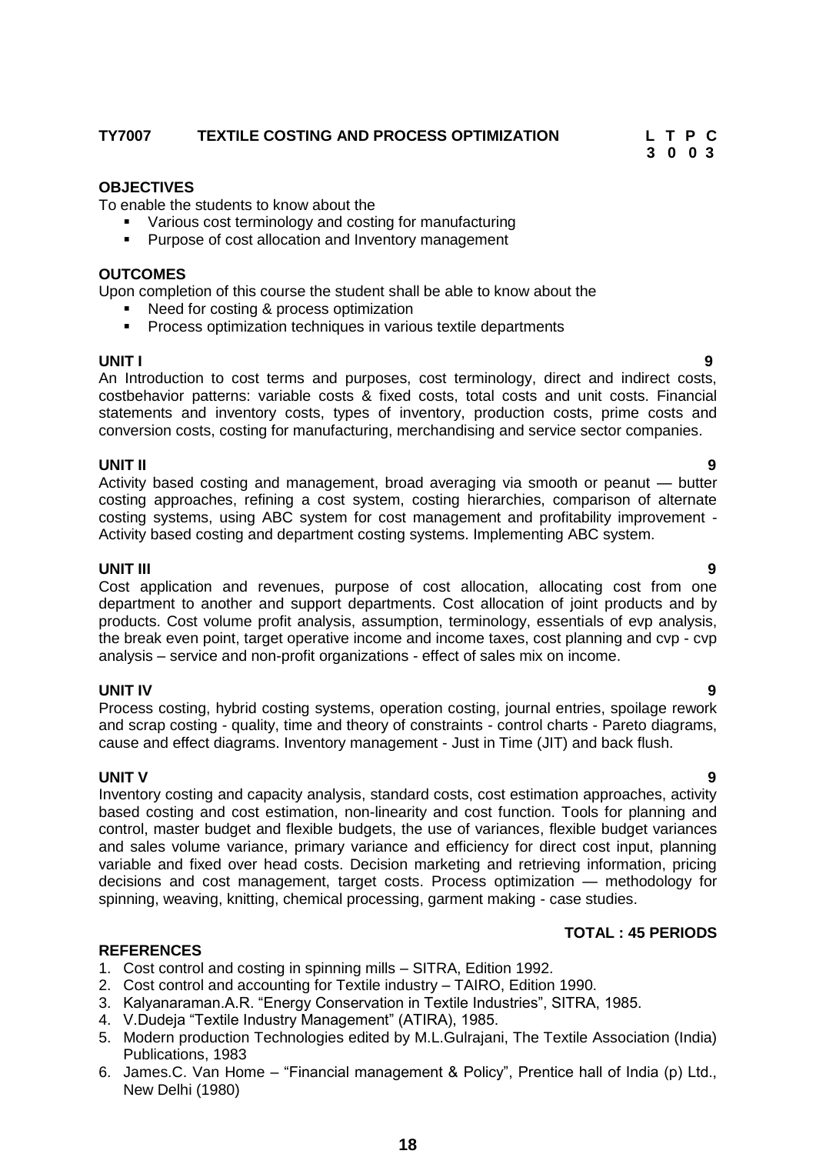## **TY7007 TEXTILE COSTING AND PROCESS OPTIMIZATION L T P C**

## **OBJECTIVES**

To enable the students to know about the

- Various cost terminology and costing for manufacturing
- Purpose of cost allocation and Inventory management

#### **OUTCOMES**

Upon completion of this course the student shall be able to know about the

- Need for costing & process optimization
- **Process optimization techniques in various textile departments**

**UNIT I 9** An Introduction to cost terms and purposes, cost terminology, direct and indirect costs, costbehavior patterns: variable costs & fixed costs, total costs and unit costs. Financial statements and inventory costs, types of inventory, production costs, prime costs and conversion costs, costing for manufacturing, merchandising and service sector companies.

#### **UNIT II 9**

Activity based costing and management, broad averaging via smooth or peanut — butter costing approaches, refining a cost system, costing hierarchies, comparison of alternate costing systems, using ABC system for cost management and profitability improvement - Activity based costing and department costing systems. Implementing ABC system.

#### **UNIT III 9**

Cost application and revenues, purpose of cost allocation, allocating cost from one department to another and support departments. Cost allocation of joint products and by products. Cost volume profit analysis, assumption, terminology, essentials of evp analysis, the break even point, target operative income and income taxes, cost planning and cvp - cvp analysis – service and non-profit organizations - effect of sales mix on income.

#### **UNIT IV 9**

Process costing, hybrid costing systems, operation costing, journal entries, spoilage rework and scrap costing - quality, time and theory of constraints - control charts - Pareto diagrams, cause and effect diagrams. Inventory management - Just in Time (JIT) and back flush.

**UNIT V 9** Inventory costing and capacity analysis, standard costs, cost estimation approaches, activity based costing and cost estimation, non-linearity and cost function. Tools for planning and control, master budget and flexible budgets, the use of variances, flexible budget variances and sales volume variance, primary variance and efficiency for direct cost input, planning variable and fixed over head costs. Decision marketing and retrieving information, pricing decisions and cost management, target costs. Process optimization — methodology for spinning, weaving, knitting, chemical processing, garment making - case studies.

#### **TOTAL : 45 PERIODS**

#### **REFERENCES**

- 1. Cost control and costing in spinning mills SITRA, Edition 1992.
- 2. Cost control and accounting for Textile industry TAIRO, Edition 1990.
- 3. Kalyanaraman.A.R. "Energy Conservation in Textile Industries", SITRA, 1985.
- 4. V.Dudeja "Textile Industry Management" (ATIRA), 1985.
- 5. Modern production Technologies edited by M.L.Gulrajani, The Textile Association (India) Publications, 1983
- 6. James.C. Van Home "Financial management & Policy", Prentice hall of India (p) Ltd., New Delhi (1980)

 **3 0 0 3**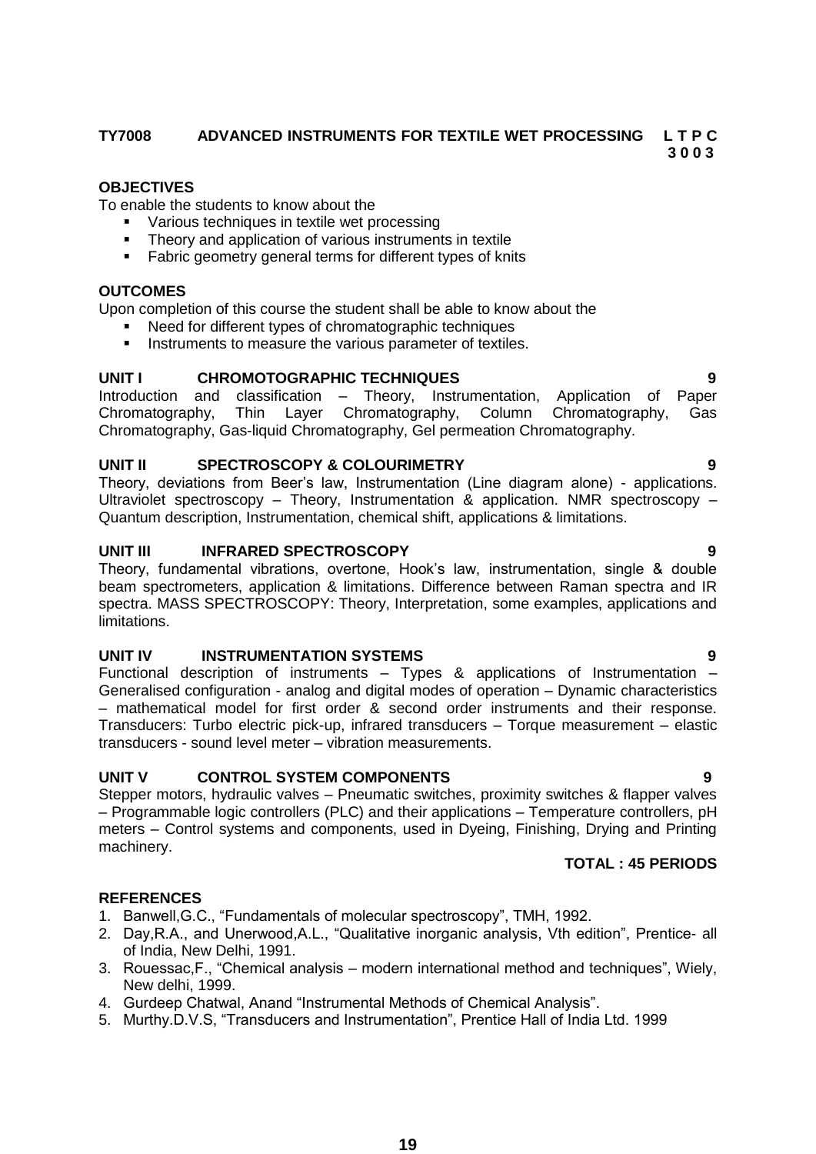## **TY7008 ADVANCED INSTRUMENTS FOR TEXTILE WET PROCESSING L T P C**

 **3 0 0 3**

## **OBJECTIVES**

To enable the students to know about the

- Various techniques in textile wet processing
- Theory and application of various instruments in textile
- **Fabric geometry general terms for different types of knits**

## **OUTCOMES**

Upon completion of this course the student shall be able to know about the

- Need for different types of chromatographic techniques
- **Instruments to measure the various parameter of textiles.**

## **UNIT I CHROMOTOGRAPHIC TECHNIQUES 9**

Introduction and classification – Theory, Instrumentation, Application of Paper Chromatography, Thin Layer Chromatography, Column Chromatography, Gas Chromatography, Gas-liquid Chromatography, Gel permeation Chromatography.

## **UNIT II SPECTROSCOPY & COLOURIMETRY 9**

Theory, deviations from Beer's law, Instrumentation (Line diagram alone) - applications. Ultraviolet spectroscopy – Theory, Instrumentation & application. NMR spectroscopy – Quantum description, Instrumentation, chemical shift, applications & limitations.

## **UNIT III INFRARED SPECTROSCOPY 9**

Theory, fundamental vibrations, overtone, Hook's law, instrumentation, single & double beam spectrometers, application & limitations. Difference between Raman spectra and IR spectra. MASS SPECTROSCOPY: Theory, Interpretation, some examples, applications and limitations.

## **UNIT IV INSTRUMENTATION SYSTEMS 9**

Functional description of instruments – Types & applications of Instrumentation – Generalised configuration - analog and digital modes of operation – Dynamic characteristics – mathematical model for first order & second order instruments and their response. Transducers: Turbo electric pick-up, infrared transducers – Torque measurement – elastic transducers - sound level meter – vibration measurements.

## **UNIT V CONTROL SYSTEM COMPONENTS 9**

Stepper motors, hydraulic valves – Pneumatic switches, proximity switches & flapper valves – Programmable logic controllers (PLC) and their applications – Temperature controllers, pH meters – Control systems and components, used in Dyeing, Finishing, Drying and Printing machinery.

## **TOTAL : 45 PERIODS**

- 1. Banwell, G.C., "Fundamentals of molecular spectroscopy", TMH, 1992.
- 2. Day, R.A., and Unerwood, A.L., "Qualitative inorganic analysis, Vth edition", Prentice- all of India, New Delhi, 1991.
- 3. Rouessac, F., "Chemical analysis modern international method and techniques", Wiely, New delhi, 1999.
- 4. Gurdeep Chatwal, Anand "Instrumental Methods of Chemical Analysis".
- 5. Murthy.D.V.S, "Transducers and Instrumentation", Prentice Hall of India Ltd. 1999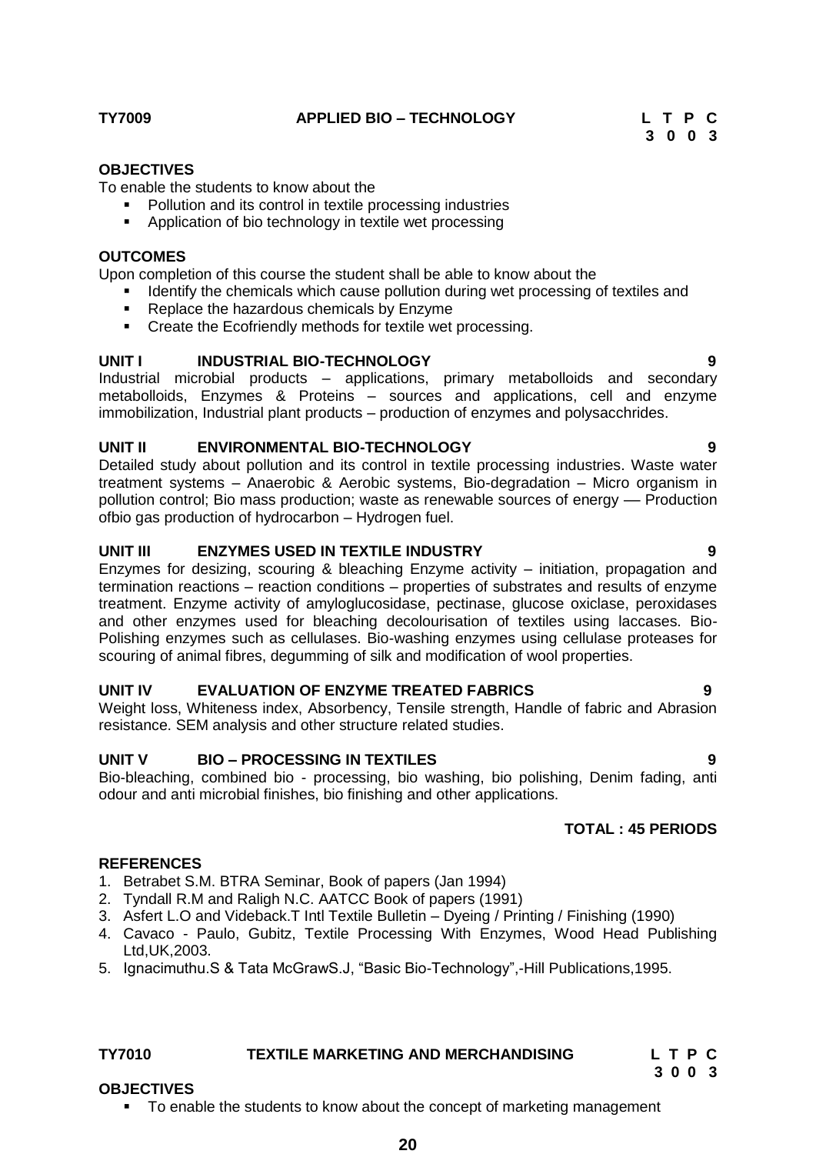To enable the students to know about the

- Pollution and its control in textile processing industries
- Application of bio technology in textile wet processing

### **OUTCOMES**

Upon completion of this course the student shall be able to know about the

- Identify the chemicals which cause pollution during wet processing of textiles and
- Replace the hazardous chemicals by Enzyme
- Create the Ecofriendly methods for textile wet processing.

### **UNIT I INDUSTRIAL BIO-TECHNOLOGY 9**

Industrial microbial products – applications, primary metabolloids and secondary metabolloids, Enzymes & Proteins – sources and applications, cell and enzyme immobilization, Industrial plant products – production of enzymes and polysacchrides.

## **UNIT II ENVIRONMENTAL BIO-TECHNOLOGY 9**

Detailed study about pollution and its control in textile processing industries. Waste water treatment systems – Anaerobic & Aerobic systems, Bio-degradation – Micro organism in pollution control; Bio mass production; waste as renewable sources of energy –– Production ofbio gas production of hydrocarbon – Hydrogen fuel.

## **UNIT III ENZYMES USED IN TEXTILE INDUSTRY 9**

Enzymes for desizing, scouring & bleaching Enzyme activity – initiation, propagation and termination reactions – reaction conditions – properties of substrates and results of enzyme treatment. Enzyme activity of amyloglucosidase, pectinase, glucose oxiclase, peroxidases and other enzymes used for bleaching decolourisation of textiles using laccases. Bio-Polishing enzymes such as cellulases. Bio-washing enzymes using cellulase proteases for scouring of animal fibres, degumming of silk and modification of wool properties.

## **UNIT IV EVALUATION OF ENZYME TREATED FABRICS 9**

Weight loss, Whiteness index, Absorbency, Tensile strength, Handle of fabric and Abrasion resistance. SEM analysis and other structure related studies.

## **UNIT V BIO – PROCESSING IN TEXTILES 9**

Bio-bleaching, combined bio - processing, bio washing, bio polishing, Denim fading, anti odour and anti microbial finishes, bio finishing and other applications.

### **TOTAL : 45 PERIODS**

#### **REFERENCES**

- 1. Betrabet S.M. BTRA Seminar, Book of papers (Jan 1994)
- 2. Tyndall R.M and Raligh N.C. AATCC Book of papers (1991)
- 3. Asfert L.O and Videback.T Intl Textile Bulletin Dyeing / Printing / Finishing (1990)
- 4. Cavaco Paulo, Gubitz, Textile Processing With Enzymes, Wood Head Publishing Ltd,UK,2003.
- 5. Ignacimuthu.S & Tata McGrawS.J, "Basic Bio-Technology",-Hill Publications, 1995.

# **TY7010 TEXTILE MARKETING AND MERCHANDISING L T P C**

## **3 0 0 3**

#### **OBJECTIVES**

To enable the students to know about the concept of marketing management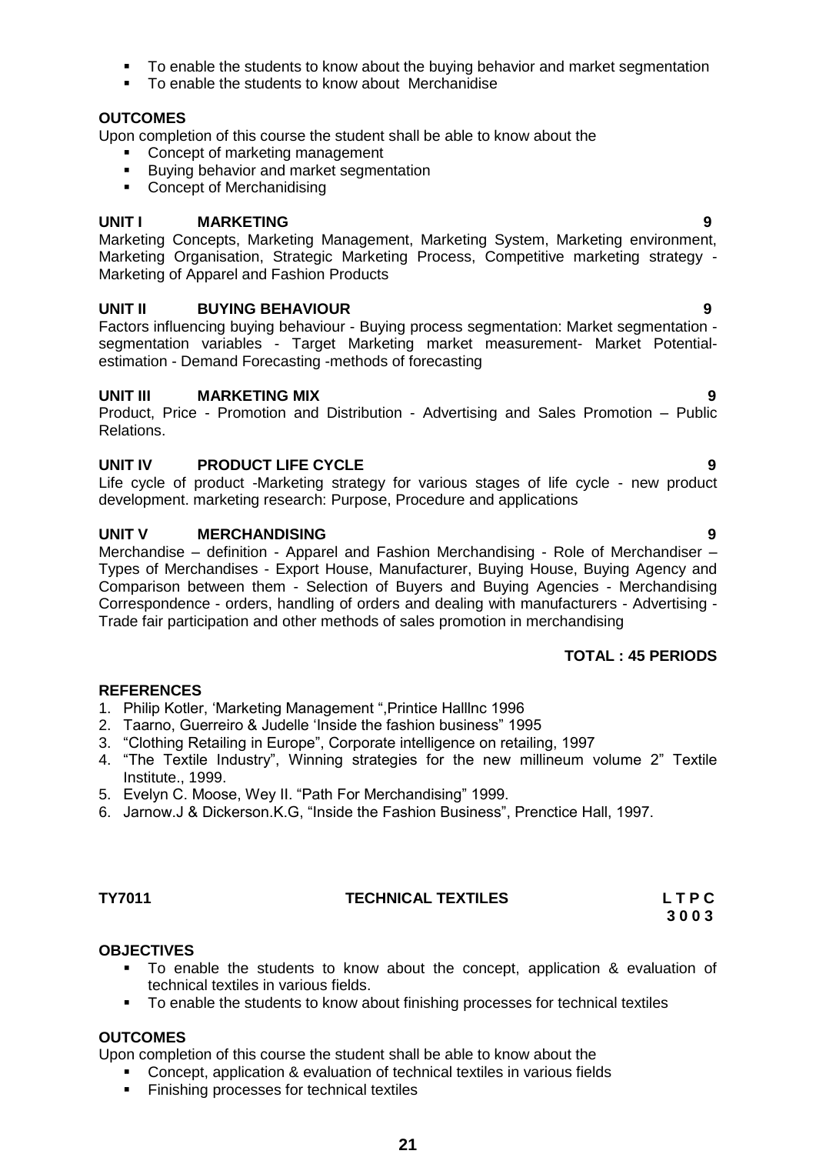- To enable the students to know about the buying behavior and market segmentation
- To enable the students to know about Merchanidise

## **OUTCOMES**

Upon completion of this course the student shall be able to know about the

- Concept of marketing management
- **Buying behavior and market segmentation**
- **-** Concept of Merchanidising

### **UNIT I MARKETING 9**

Marketing Concepts, Marketing Management, Marketing System, Marketing environment, Marketing Organisation, Strategic Marketing Process, Competitive marketing strategy - Marketing of Apparel and Fashion Products

### **UNIT II BUYING BEHAVIOUR 9**

Factors influencing buying behaviour - Buying process segmentation: Market segmentation segmentation variables - Target Marketing market measurement- Market Potentialestimation - Demand Forecasting -methods of forecasting

### **UNIT III MARKETING MIX 9**

Product, Price - Promotion and Distribution - Advertising and Sales Promotion – Public Relations.

## **UNIT IV PRODUCT LIFE CYCLE 9**

Life cycle of product -Marketing strategy for various stages of life cycle - new product development. marketing research: Purpose, Procedure and applications

## **UNIT V MERCHANDISING 9**

Merchandise – definition - Apparel and Fashion Merchandising - Role of Merchandiser – Types of Merchandises - Export House, Manufacturer, Buying House, Buying Agency and Comparison between them - Selection of Buyers and Buying Agencies - Merchandising Correspondence - orders, handling of orders and dealing with manufacturers - Advertising - Trade fair participation and other methods of sales promotion in merchandising

## **TOTAL : 45 PERIODS**

## **REFERENCES**

- 1. Philip Kotler, 'Marketing Management ", Printice Halllnc 1996
- 2. Taarno, Guerreiro & Judelle 'Inside the fashion business" 1995
- 3. "Clothing Retailing in Europe", Corporate intelligence on retailing, 1997
- 4. "The Textile Industry", Winning strategies for the new millineum volume 2" Textile Institute., 1999.
- 5. Evelyn C. Moose, Wey II. "Path For Merchandising" 1999.
- 6. Jarnow.J & Dickerson.K.G, "Inside the Fashion Business", Prenctice Hall, 1997.

## **TY7011 TECHNICAL TEXTILES L T P C**

 **3 0 0 3**

## **OBJECTIVES**

- To enable the students to know about the concept, application & evaluation of technical textiles in various fields.
- To enable the students to know about finishing processes for technical textiles

## **OUTCOMES**

Upon completion of this course the student shall be able to know about the

- Concept, application & evaluation of technical textiles in various fields
- Finishing processes for technical textiles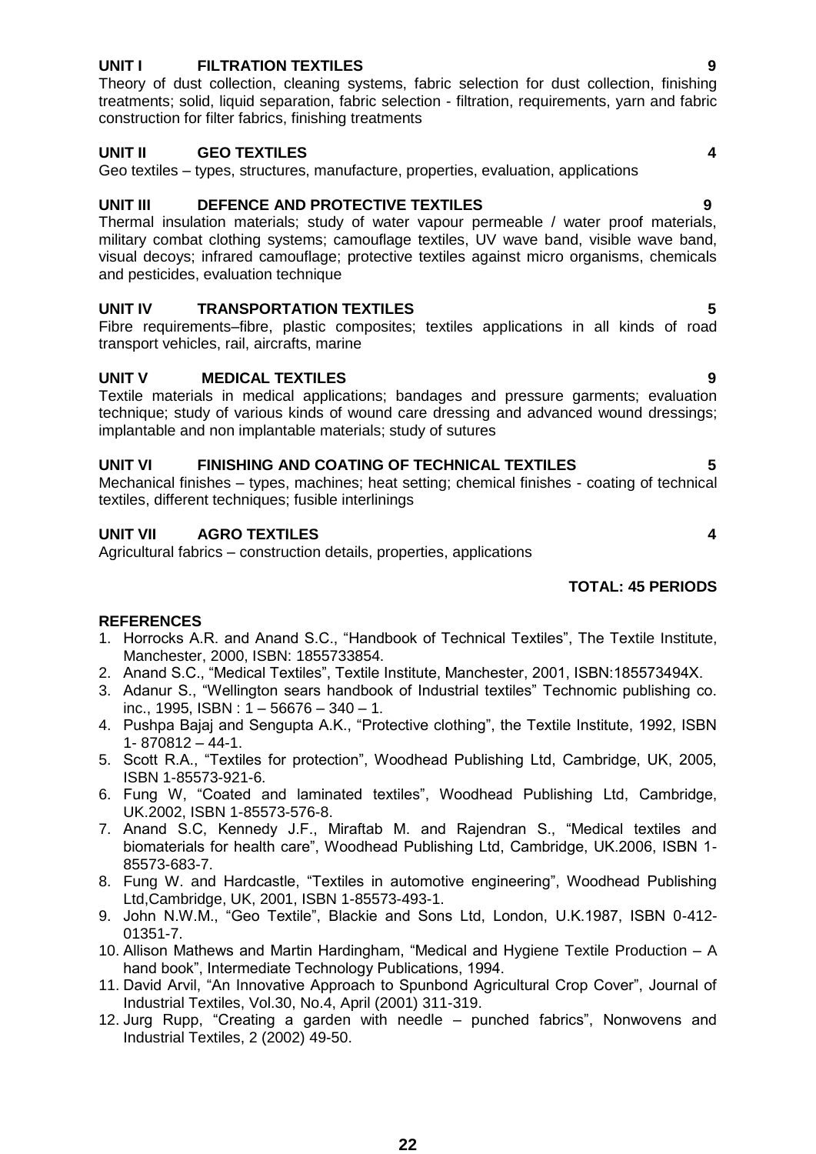#### **22**

## **UNIT I FILTRATION TEXTILES 9**

Theory of dust collection, cleaning systems, fabric selection for dust collection, finishing treatments; solid, liquid separation, fabric selection - filtration, requirements, yarn and fabric construction for filter fabrics, finishing treatments

### **UNIT II GEO TEXTILES 4**

Geo textiles – types, structures, manufacture, properties, evaluation, applications

## **UNIT III DEFENCE AND PROTECTIVE TEXTILES 9**

Thermal insulation materials; study of water vapour permeable / water proof materials, military combat clothing systems; camouflage textiles, UV wave band, visible wave band, visual decoys; infrared camouflage; protective textiles against micro organisms, chemicals and pesticides, evaluation technique

## **UNIT IV TRANSPORTATION TEXTILES 5**

Fibre requirements–fibre, plastic composites; textiles applications in all kinds of road transport vehicles, rail, aircrafts, marine

### **UNIT V MEDICAL TEXTILES 9**

Textile materials in medical applications; bandages and pressure garments; evaluation technique; study of various kinds of wound care dressing and advanced wound dressings; implantable and non implantable materials; study of sutures

### **UNIT VI FINISHING AND COATING OF TECHNICAL TEXTILES 5**

Mechanical finishes – types, machines; heat setting; chemical finishes - coating of technical textiles, different techniques; fusible interlinings

## **UNIT VII AGRO TEXTILES 4**

Agricultural fabrics – construction details, properties, applications

## **TOTAL: 45 PERIODS**

- 1. Horrocks A.R. and Anand S.C., "Handbook of Technical Textiles", The Textile Institute, Manchester, 2000, ISBN: 1855733854.
- 2. Anand S.C., "Medical Textiles", Textile Institute, Manchester, 2001, ISBN:185573494X.
- 3. Adanur S., "Wellington sears handbook of Industrial textiles" Technomic publishing co. inc., 1995, ISBN : 1 – 56676 – 340 – 1.
- 4. Pushpa Bajaj and Sengupta A.K., "Protective clothing", the Textile Institute, 1992, ISBN 1- 870812 – 44-1.
- 5. Scott R.A., "Textiles for protection", Woodhead Publishing Ltd, Cambridge, UK, 2005, ISBN 1-85573-921-6.
- 6. Fung W, "Coated and laminated textiles", Woodhead Publishing Ltd, Cambridge, UK.2002, ISBN 1-85573-576-8.
- 7. Anand S.C, Kennedy J.F., Miraftab M. and Rajendran S., "Medical textiles and biomaterials for health care", Woodhead Publishing Ltd, Cambridge, UK.2006, ISBN 1-85573-683-7.
- 8. Fung W. and Hardcastle, "Textiles in automotive engineering", Woodhead Publishing Ltd,Cambridge, UK, 2001, ISBN 1-85573-493-1.
- 9. John N.W.M., "Geo Textile", Blackie and Sons Ltd, London, U.K.1987, ISBN 0-412-01351-7.
- 10. Allison Mathews and Martin Hardingham, "Medical and Hygiene Textile Production  $-$  A hand book", Intermediate Technology Publications, 1994.
- 11. David Arvil, "An Innovative Approach to Spunbond Agricultural Crop Cover", Journal of Industrial Textiles, Vol.30, No.4, April (2001) 311-319.
- 12. Jurg Rupp, "Creating a garden with needle punched fabrics", Nonwovens and Industrial Textiles, 2 (2002) 49-50.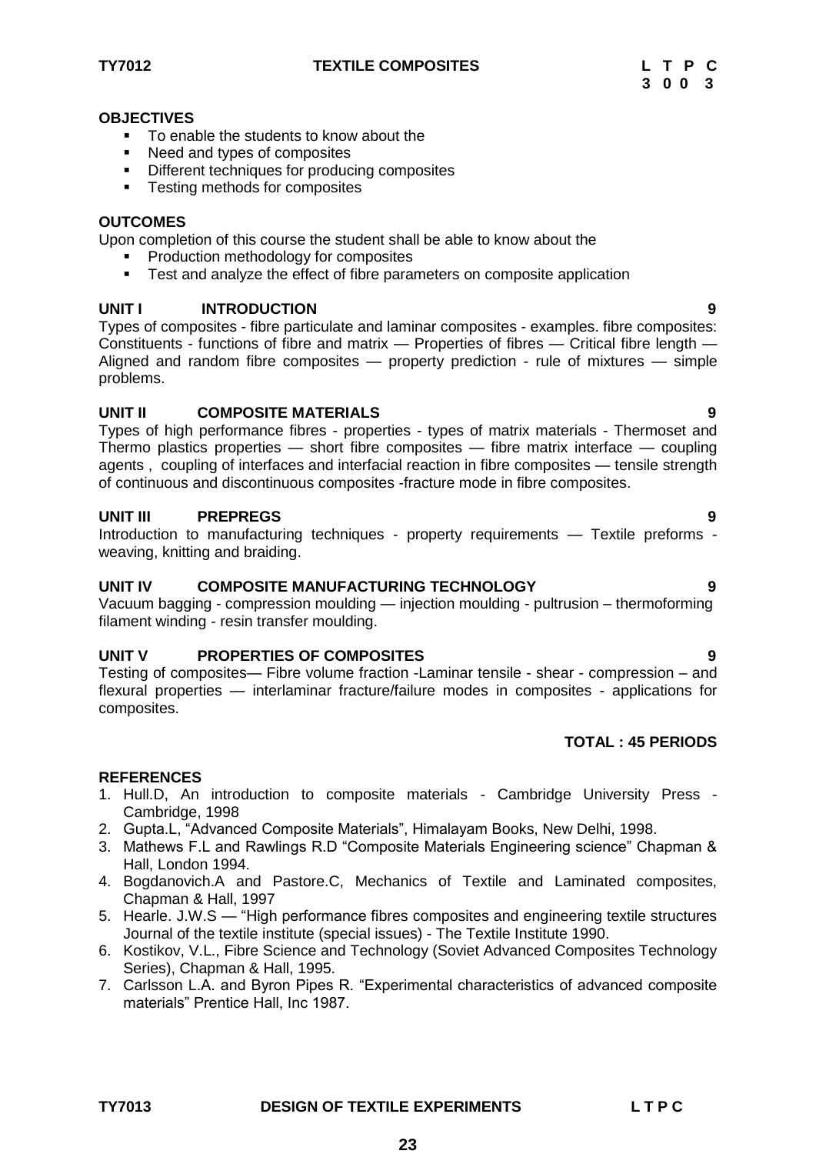- To enable the students to know about the
- Need and types of composites
- **•** Different techniques for producing composites
- Testing methods for composites

### **OUTCOMES**

Upon completion of this course the student shall be able to know about the

- Production methodology for composites
- **Test and analyze the effect of fibre parameters on composite application**

## UNIT **INTRODUCTION**

Types of composites - fibre particulate and laminar composites - examples. fibre composites: Constituents - functions of fibre and matrix — Properties of fibres — Critical fibre length — Aligned and random fibre composites — property prediction - rule of mixtures — simple problems.

## **UNIT II COMPOSITE MATERIALS 9**

Types of high performance fibres - properties - types of matrix materials - Thermoset and Thermo plastics properties — short fibre composites — fibre matrix interface — coupling agents , coupling of interfaces and interfacial reaction in fibre composites — tensile strength of continuous and discontinuous composites -fracture mode in fibre composites.

### **UNIT III PREPREGS 9**

Introduction to manufacturing techniques - property requirements — Textile preforms weaving, knitting and braiding.

## **UNIT IV COMPOSITE MANUFACTURING TECHNOLOGY 9**

Vacuum bagging - compression moulding — injection moulding - pultrusion – thermoforming filament winding - resin transfer moulding.

## **UNIT V PROPERTIES OF COMPOSITES 9**

Testing of composites— Fibre volume fraction -Laminar tensile - shear - compression – and flexural properties — interlaminar fracture/failure modes in composites - applications for composites.

## **TOTAL : 45 PERIODS**

## **REFERENCES**

- 1. Hull.D, An introduction to composite materials Cambridge University Press -Cambridge, 1998
- 2. Gupta.L, "Advanced Composite Materials", Himalayam Books, New Delhi, 1998.
- 3. Mathews F.L and Rawlings R.D "Composite Materials Engineering science" Chapman & Hall, London 1994.
- 4. Bogdanovich.A and Pastore.C, Mechanics of Textile and Laminated composites, Chapman & Hall, 1997
- 5. Hearle. J.W.S "High performance fibres composites and engineering textile structures Journal of the textile institute (special issues) - The Textile Institute 1990.
- 6. Kostikov, V.L., Fibre Science and Technology (Soviet Advanced Composites Technology Series), Chapman & Hall, 1995.
- 7. Carlsson L.A. and Byron Pipes R. "Experimental characteristics of advanced composite materials" Prentice Hall, Inc 1987.

**23**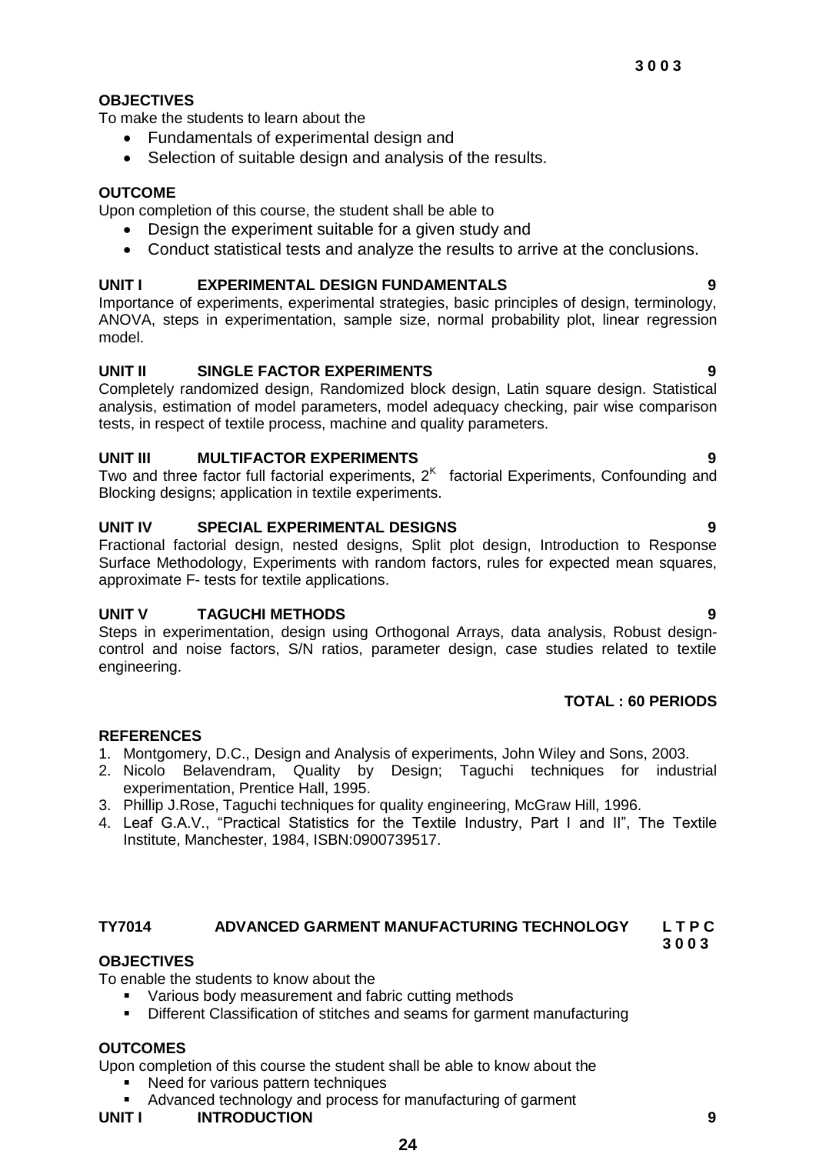To make the students to learn about the

- Fundamentals of experimental design and
- Selection of suitable design and analysis of the results.

## **OUTCOME**

Upon completion of this course, the student shall be able to

- Design the experiment suitable for a given study and
- Conduct statistical tests and analyze the results to arrive at the conclusions.

## **UNIT I EXPERIMENTAL DESIGN FUNDAMENTALS 9**

Importance of experiments, experimental strategies, basic principles of design, terminology, ANOVA, steps in experimentation, sample size, normal probability plot, linear regression model.

## **UNIT II SINGLE FACTOR EXPERIMENTS 9**

Completely randomized design, Randomized block design, Latin square design. Statistical analysis, estimation of model parameters, model adequacy checking, pair wise comparison tests, in respect of textile process, machine and quality parameters.

## **UNIT III MULTIFACTOR EXPERIMENTS 9**

Two and three factor full factorial experiments,  $2<sup>K</sup>$  factorial Experiments, Confounding and Blocking designs; application in textile experiments.

## **UNIT IV SPECIAL EXPERIMENTAL DESIGNS 9**

Fractional factorial design, nested designs, Split plot design, Introduction to Response Surface Methodology, Experiments with random factors, rules for expected mean squares, approximate F- tests for textile applications.

## **UNIT V TAGUCHI METHODS 9**

Steps in experimentation, design using Orthogonal Arrays, data analysis, Robust designcontrol and noise factors, S/N ratios, parameter design, case studies related to textile engineering.

## **TOTAL : 60 PERIODS**

## **REFERENCES**

- 1. Montgomery, D.C., Design and Analysis of experiments, John Wiley and Sons, 2003.<br>2. Nicolo Belavendram, Quality by Design; Taguchi techniques for indus
- Quality by Design; Taguchi techniques for industrial experimentation, Prentice Hall, 1995.
- 3. Phillip J.Rose, Taguchi techniques for quality engineering, McGraw Hill, 1996.
- 4. Leaf G.A.V., "Practical Statistics for the Textile Industry, Part I and II", The Textile Institute, Manchester, 1984, ISBN:0900739517.

#### **TY7014 ADVANCED GARMENT MANUFACTURING TECHNOLOGY L T P C**

 **3 0 0 3**

## **OBJECTIVES**

To enable the students to know about the

- Various body measurement and fabric cutting methods
- Different Classification of stitches and seams for garment manufacturing

## **OUTCOMES**

Upon completion of this course the student shall be able to know about the

- Need for various pattern techniques
- Advanced technology and process for manufacturing of garment

## **UNIT I INTRODUCTION 9**

**24**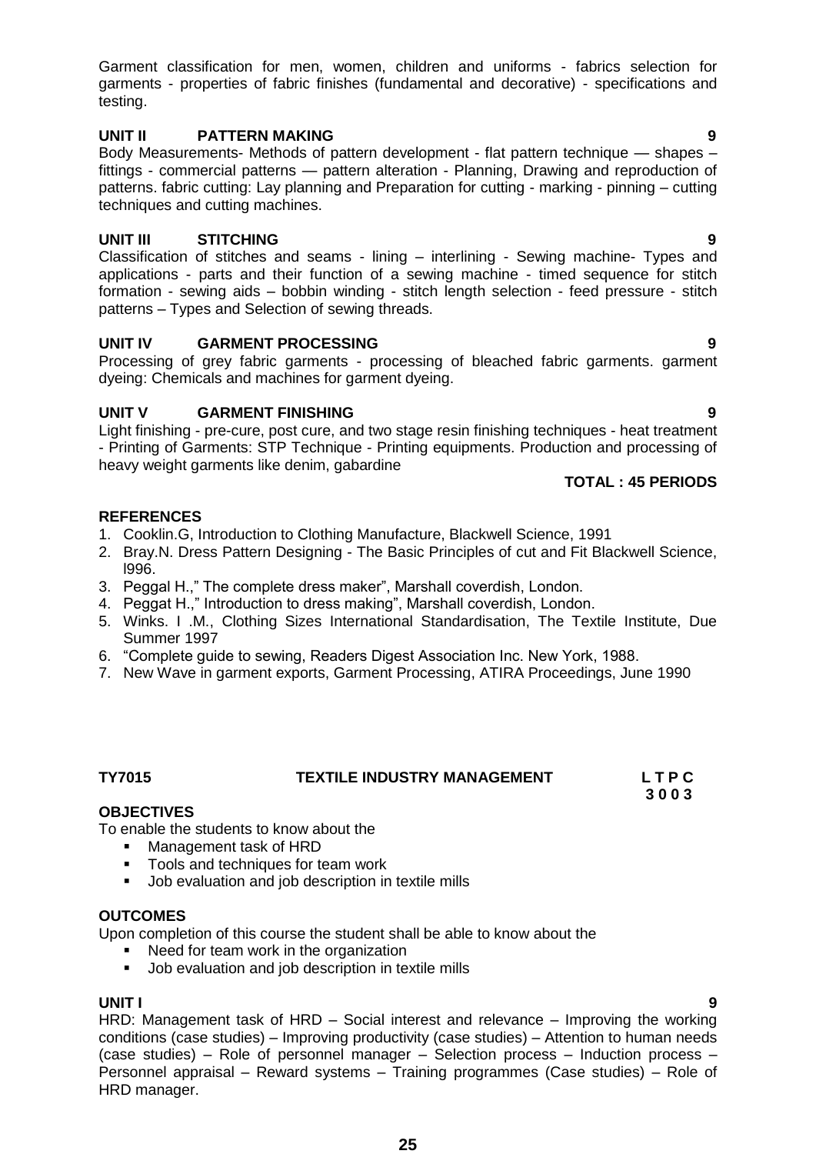Garment classification for men, women, children and uniforms - fabrics selection for garments - properties of fabric finishes (fundamental and decorative) - specifications and testing.

## **UNIT II PATTERN MAKING 9**

Body Measurements- Methods of pattern development - flat pattern technique — shapes – fittings - commercial patterns — pattern alteration - Planning, Drawing and reproduction of patterns. fabric cutting: Lay planning and Preparation for cutting - marking - pinning – cutting techniques and cutting machines.

## **UNIT III STITCHING 9**

Classification of stitches and seams - lining – interlining - Sewing machine- Types and applications - parts and their function of a sewing machine - timed sequence for stitch formation - sewing aids – bobbin winding - stitch length selection - feed pressure - stitch patterns – Types and Selection of sewing threads.

## **UNIT IV GARMENT PROCESSING 9**

Processing of grey fabric garments - processing of bleached fabric garments. garment dyeing: Chemicals and machines for garment dyeing.

## **UNIT V GARMENT FINISHING 9**

Light finishing - pre-cure, post cure, and two stage resin finishing techniques - heat treatment - Printing of Garments: STP Technique - Printing equipments. Production and processing of heavy weight garments like denim, gabardine

## **TOTAL : 45 PERIODS**

## **REFERENCES**

- 1. Cooklin.G, Introduction to Clothing Manufacture, Blackwell Science, 1991
- 2. Bray.N. Dress Pattern Designing The Basic Principles of cut and Fit Blackwell Science, l996.
- 3. Peggal H.," The complete dress maker", Marshall coverdish, London.
- 4. Peggat H.," Introduction to dress making", Marshall coverdish, London.
- 5. Winks. I .M., Clothing Sizes International Standardisation, The Textile Institute, Due Summer 1997
- 6. "Complete quide to sewing, Readers Digest Association Inc. New York, 1988.
- 7. New Wave in garment exports, Garment Processing, ATIRA Proceedings, June 1990

## **TY7015 TEXTILE INDUSTRY MANAGEMENT L T P C**

 **3 0 0 3**

**OBJECTIVES**

To enable the students to know about the

- **Management task of HRD**
- **Tools and techniques for team work**
- **Job evaluation and job description in textile mills**

## **OUTCOMES**

Upon completion of this course the student shall be able to know about the

- Need for team work in the organization
- **Job evaluation and job description in textile mills**

## **UNIT I 9**

HRD: Management task of HRD – Social interest and relevance – Improving the working conditions (case studies) – Improving productivity (case studies) – Attention to human needs (case studies) – Role of personnel manager – Selection process – Induction process – Personnel appraisal – Reward systems – Training programmes (Case studies) – Role of HRD manager.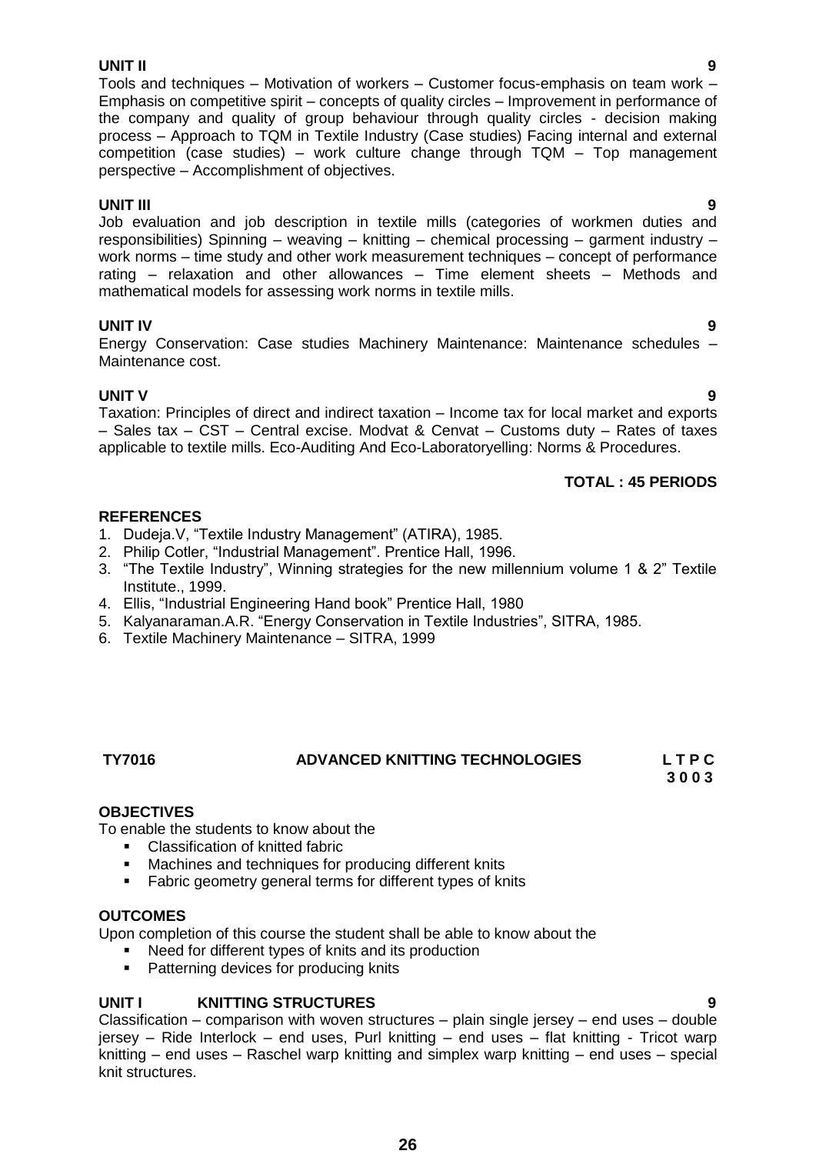### **UNIT II 9**

Tools and techniques – Motivation of workers – Customer focus-emphasis on team work – Emphasis on competitive spirit – concepts of quality circles – Improvement in performance of the company and quality of group behaviour through quality circles - decision making process – Approach to TQM in Textile Industry (Case studies) Facing internal and external competition (case studies) – work culture change through TQM – Top management perspective – Accomplishment of objectives.

**UNIT III 9** Job evaluation and job description in textile mills (categories of workmen duties and responsibilities) Spinning – weaving – knitting – chemical processing – garment industry – work norms – time study and other work measurement techniques – concept of performance rating – relaxation and other allowances – Time element sheets – Methods and mathematical models for assessing work norms in textile mills.

## **UNIT IV 9**

Energy Conservation: Case studies Machinery Maintenance: Maintenance schedules – Maintenance cost.

## **UNIT V 9**

Taxation: Principles of direct and indirect taxation – Income tax for local market and exports – Sales tax – CST – Central excise. Modvat & Cenvat – Customs duty – Rates of taxes applicable to textile mills. Eco-Auditing And Eco-Laboratoryelling: Norms & Procedures.

## **TOTAL : 45 PERIODS**

## **REFERENCES**

- 1. Dudeja.V. "Textile Industry Management" (ATIRA), 1985.
- 2. Philip Cotler, "Industrial Management". Prentice Hall, 1996.
- 3. "The Textile Industry", Winning strategies for the new millennium volume 1 & 2" Textile Institute., 1999.
- 4. Ellis, "Industrial Engineering Hand book" Prentice Hall, 1980
- 5. Kalyanaraman.A.R. "Energy Conservation in Textile Industries", SITRA, 1985.
- 6. Textile Machinery Maintenance SITRA, 1999

## **TY7016 ADVANCED KNITTING TECHNOLOGIES L T P C**

 **3 0 0 3**

## **OBJECTIVES**

To enable the students to know about the

- **EXEC** Classification of knitted fabric
- Machines and techniques for producing different knits
- **Fabric geometry general terms for different types of knits**

## **OUTCOMES**

Upon completion of this course the student shall be able to know about the

- Need for different types of knits and its production
- **Patterning devices for producing knits**

## **UNIT I KNITTING STRUCTURES 9**

Classification – comparison with woven structures – plain single jersey – end uses – double jersey – Ride Interlock – end uses, Purl knitting – end uses – flat knitting - Tricot warp knitting – end uses – Raschel warp knitting and simplex warp knitting – end uses – special knit structures.